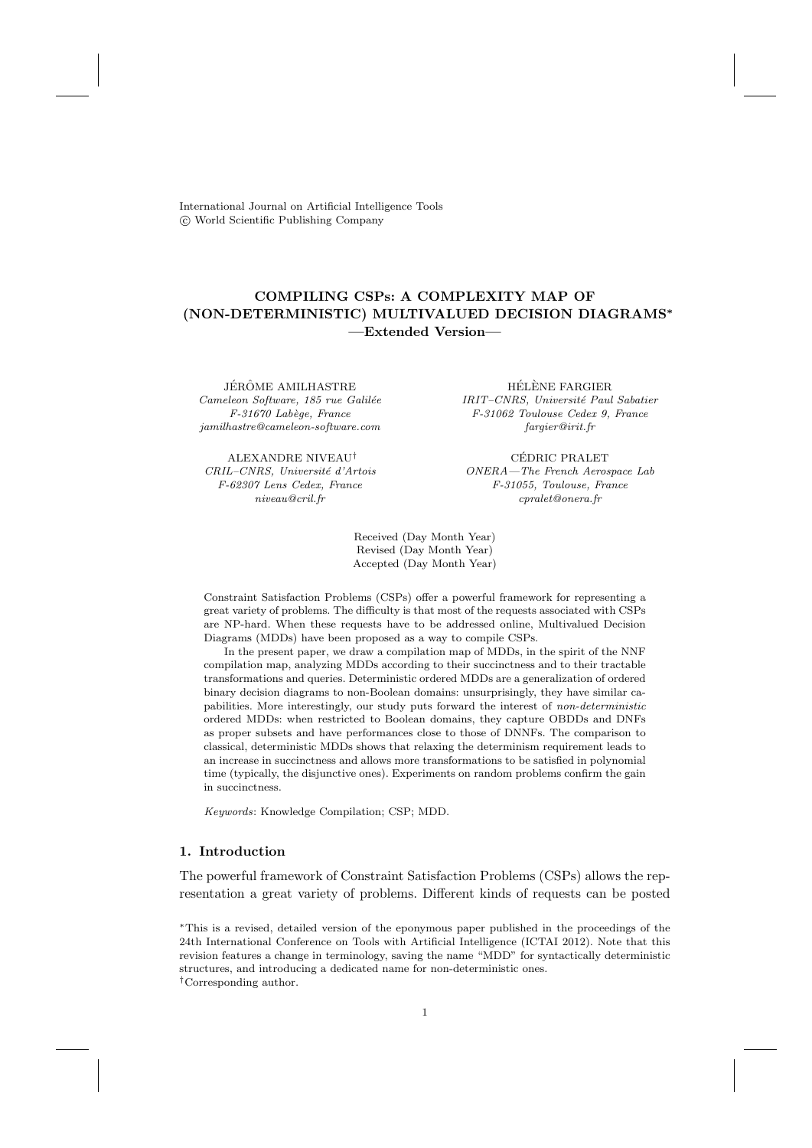International Journal on Artificial Intelligence Tools c World Scientific Publishing Company

# COMPILING CSPs: A COMPLEXITY MAP OF (NON-DETERMINISTIC) MULTIVALUED DECISION DIAGRAMS<sup>∗</sup> —Extended Version—

Cameleon Software, 185 rue Galilée F-31670 Labège, France jamilhastre@cameleon-software.com

ALEXANDRE NIVEAU<sup>†</sup> CÉDRIC PRALET CRIL–CNRS, Université d'Artois F-62307 Lens Cedex, France niveau@cril.fr

JER´ OME AMILHASTRE H ˆ EL´ ENE FARGIER ` IRIT–CNRS, Université Paul Sabatier F-31062 Toulouse Cedex 9, France fargier@irit.fr

> ONERA—The French Aerospace Lab F-31055, Toulouse, France cpralet@onera.fr

Received (Day Month Year) Revised (Day Month Year) Accepted (Day Month Year)

Constraint Satisfaction Problems (CSPs) offer a powerful framework for representing a great variety of problems. The difficulty is that most of the requests associated with CSPs are NP-hard. When these requests have to be addressed online, Multivalued Decision Diagrams (MDDs) have been proposed as a way to compile CSPs.

In the present paper, we draw a compilation map of MDDs, in the spirit of the NNF compilation map, analyzing MDDs according to their succinctness and to their tractable transformations and queries. Deterministic ordered MDDs are a generalization of ordered binary decision diagrams to non-Boolean domains: unsurprisingly, they have similar capabilities. More interestingly, our study puts forward the interest of non-deterministic ordered MDDs: when restricted to Boolean domains, they capture OBDDs and DNFs as proper subsets and have performances close to those of DNNFs. The comparison to classical, deterministic MDDs shows that relaxing the determinism requirement leads to an increase in succinctness and allows more transformations to be satisfied in polynomial time (typically, the disjunctive ones). Experiments on random problems confirm the gain in succinctness.

Keywords: Knowledge Compilation; CSP; MDD.

#### 1. Introduction

The powerful framework of Constraint Satisfaction Problems (CSPs) allows the representation a great variety of problems. Different kinds of requests can be posted

<sup>∗</sup>This is a revised, detailed version of the eponymous paper published in the proceedings of the 24th International Conference on Tools with Artificial Intelligence (ICTAI 2012). Note that this revision features a change in terminology, saving the name "MDD" for syntactically deterministic structures, and introducing a dedicated name for non-deterministic ones. †Corresponding author.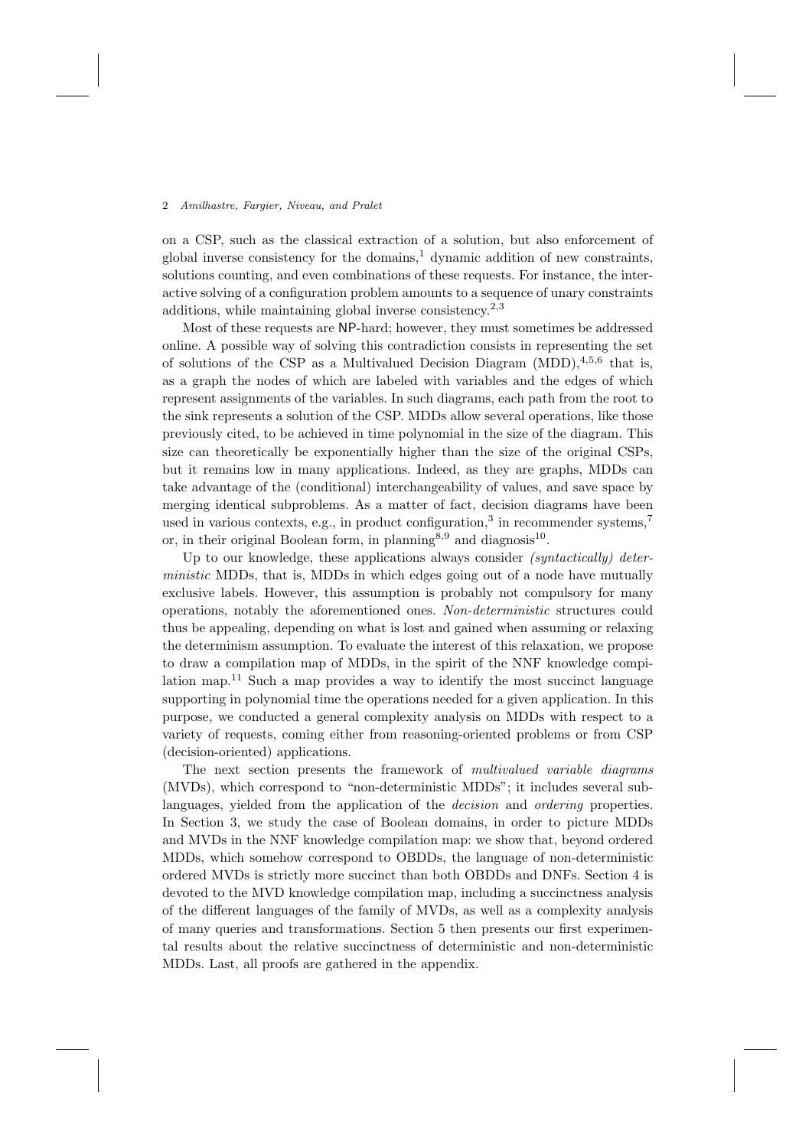on a CSP, such as the classical extraction of a solution, but also enforcement of global inverse consistency for the domains, $\frac{1}{2}$  dynamic addition of new constraints, solutions counting, and even combinations of these requests. For instance, the interactive solving of a configuration problem amounts to a sequence of unary constraints additions, while maintaining global inverse consistency.<sup>2,3</sup>

Most of these requests are NP-hard; however, they must sometimes be addressed online. A possible way of solving this contradiction consists in representing the set of solutions of the CSP as a Multivalued Decision Diagram  $(MDD)$ ,<sup>4,5,6</sup> that is, as a graph the nodes of which are labeled with variables and the edges of which represent assignments of the variables. In such diagrams, each path from the root to the sink represents a solution of the CSP. MDDs allow several operations, like those previously cited, to be achieved in time polynomial in the size of the diagram. This size can theoretically be exponentially higher than the size of the original CSPs, but it remains low in many applications. Indeed, as they are graphs, MDDs can take advantage of the (conditional) interchangeability of values, and save space by merging identical subproblems. As a matter of fact, decision diagrams have been used in various contexts, e.g., in product configuration,<sup>3</sup> in recommender systems,<sup>7</sup> or, in their original Boolean form, in planning<sup>8,9</sup> and diagnosis<sup>10</sup>.

Up to our knowledge, these applications always consider  $(syntactically)$  deterministic MDDs, that is, MDDs in which edges going out of a node have mutually exclusive labels. However, this assumption is probably not compulsory for many operations, notably the aforementioned ones. Non-deterministic structures could thus be appealing, depending on what is lost and gained when assuming or relaxing the determinism assumption. To evaluate the interest of this relaxation, we propose to draw a compilation map of MDDs, in the spirit of the NNF knowledge compilation map.<sup>11</sup> Such a map provides a way to identify the most succinct language supporting in polynomial time the operations needed for a given application. In this purpose, we conducted a general complexity analysis on MDDs with respect to a variety of requests, coming either from reasoning-oriented problems or from CSP (decision-oriented) applications.

The next section presents the framework of multivalued variable diagrams (MVDs), which correspond to "non-deterministic MDDs"; it includes several sublanguages, yielded from the application of the *decision* and *ordering* properties. In Section 3, we study the case of Boolean domains, in order to picture MDDs and MVDs in the NNF knowledge compilation map: we show that, beyond ordered MDDs, which somehow correspond to OBDDs, the language of non-deterministic ordered MVDs is strictly more succinct than both OBDDs and DNFs. Section 4 is devoted to the MVD knowledge compilation map, including a succinctness analysis of the different languages of the family of MVDs, as well as a complexity analysis of many queries and transformations. Section 5 then presents our first experimental results about the relative succinctness of deterministic and non-deterministic MDDs. Last, all proofs are gathered in the appendix.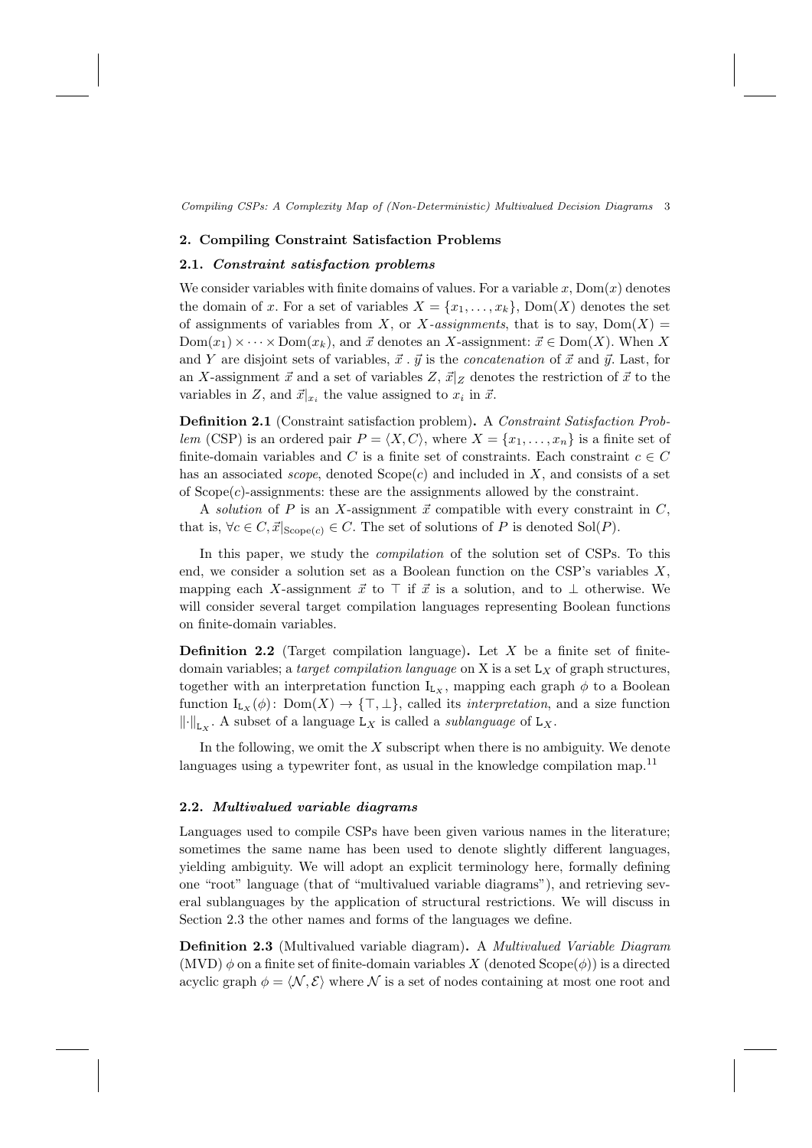#### 2. Compiling Constraint Satisfaction Problems

### 2.1. Constraint satisfaction problems

We consider variables with finite domains of values. For a variable  $x$ ,  $Dom(x)$  denotes the domain of x. For a set of variables  $X = \{x_1, \ldots, x_k\}$ , Dom $(X)$  denotes the set of assignments of variables from X, or X-assignments, that is to say,  $Dom(X)$  $Dom(x_1) \times \cdots \times Dom(x_k)$ , and  $\vec{x}$  denotes an X-assignment:  $\vec{x} \in Dom(X)$ . When X and Y are disjoint sets of variables,  $\vec{x} \cdot \vec{y}$  is the *concatenation* of  $\vec{x}$  and  $\vec{y}$ . Last, for an X-assignment  $\vec{x}$  and a set of variables  $Z, \vec{x}|_Z$  denotes the restriction of  $\vec{x}$  to the variables in Z, and  $\vec{x}|_{x_i}$  the value assigned to  $x_i$  in  $\vec{x}$ .

Definition 2.1 (Constraint satisfaction problem). A Constraint Satisfaction Problem (CSP) is an ordered pair  $P = \langle X, C \rangle$ , where  $X = \{x_1, \ldots, x_n\}$  is a finite set of finite-domain variables and C is a finite set of constraints. Each constraint  $c \in C$ has an associated *scope*, denoted  $Scone(c)$  and included in X, and consists of a set of  $Scone(c)$ -assignments: these are the assignments allowed by the constraint.

A solution of P is an X-assignment  $\vec{x}$  compatible with every constraint in C, that is,  $\forall c \in C, \vec{x}|_{\text{Scope}(c)} \in C$ . The set of solutions of P is denoted Sol(P).

In this paper, we study the compilation of the solution set of CSPs. To this end, we consider a solution set as a Boolean function on the CSP's variables  $X$ , mapping each X-assignment  $\vec{x}$  to  $\top$  if  $\vec{x}$  is a solution, and to  $\bot$  otherwise. We will consider several target compilation languages representing Boolean functions on finite-domain variables.

**Definition 2.2** (Target compilation language). Let  $X$  be a finite set of finitedomain variables; a *target compilation language* on X is a set  $L_X$  of graph structures, together with an interpretation function  $I_{L_X}$ , mapping each graph  $\phi$  to a Boolean function  $I_{L_X}(\phi)$ : Dom $(X) \to \{\top, \bot\}$ , called its *interpretation*, and a size function  $\left\|\cdot\right\|_{\mathsf{L}_X}$ . A subset of a language  $\mathsf{L}_X$  is called a *sublanguage* of  $\mathsf{L}_X$ .

In the following, we omit the  $X$  subscript when there is no ambiguity. We denote languages using a typewriter font, as usual in the knowledge compilation map.<sup>11</sup>

# 2.2. Multivalued variable diagrams

Languages used to compile CSPs have been given various names in the literature; sometimes the same name has been used to denote slightly different languages, yielding ambiguity. We will adopt an explicit terminology here, formally defining one "root" language (that of "multivalued variable diagrams"), and retrieving several sublanguages by the application of structural restrictions. We will discuss in Section 2.3 the other names and forms of the languages we define.

Definition 2.3 (Multivalued variable diagram). A Multivalued Variable Diagram (MVD)  $\phi$  on a finite set of finite-domain variables X (denoted Scope( $\phi$ )) is a directed acyclic graph  $\phi = \langle \mathcal{N}, \mathcal{E} \rangle$  where N is a set of nodes containing at most one root and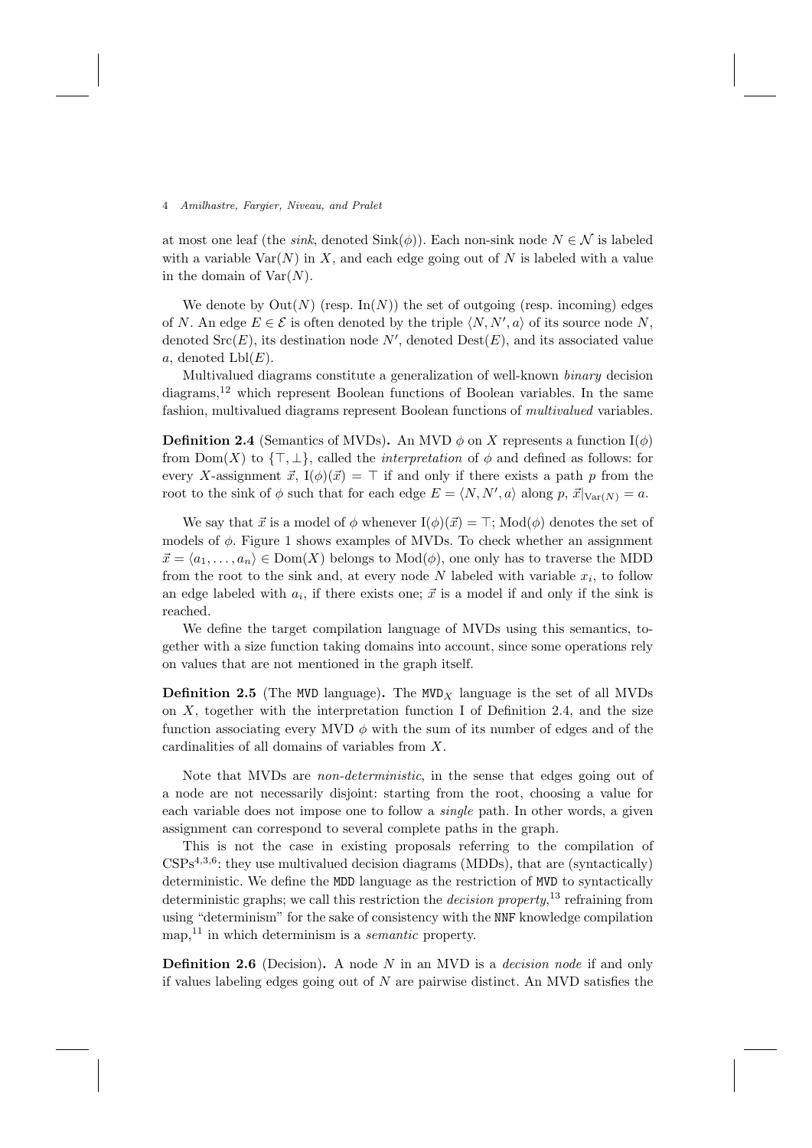at most one leaf (the sink, denoted  $\text{Sink}(\phi)$ ). Each non-sink node  $N \in \mathcal{N}$  is labeled with a variable  $\text{Var}(N)$  in X, and each edge going out of N is labeled with a value in the domain of  $\text{Var}(N)$ .

We denote by  $Out(N)$  (resp. In $(N)$ ) the set of outgoing (resp. incoming) edges of N. An edge  $E \in \mathcal{E}$  is often denoted by the triple  $\langle N, N', a \rangle$  of its source node N, denoted  $Src(E)$ , its destination node N', denoted  $Dest(E)$ , and its associated value a, denoted  $Lbl(E)$ .

Multivalued diagrams constitute a generalization of well-known binary decision diagrams,<sup>12</sup> which represent Boolean functions of Boolean variables. In the same fashion, multivalued diagrams represent Boolean functions of multivalued variables.

**Definition 2.4** (Semantics of MVDs). An MVD  $\phi$  on X represents a function I( $\phi$ ) from  $Dom(X)$  to  $\{\top, \bot\}$ , called the *interpretation* of  $\phi$  and defined as follows: for every X-assignment  $\vec{x}$ ,  $I(\phi)(\vec{x}) = \top$  if and only if there exists a path p from the root to the sink of  $\phi$  such that for each edge  $E = \langle N, N', a \rangle$  along  $p, \vec{x}|_{Var(N)} = a$ .

We say that  $\vec{x}$  is a model of  $\phi$  whenever  $I(\phi)(\vec{x}) = \top$ ; Mod $(\phi)$  denotes the set of models of  $\phi$ . Figure 1 shows examples of MVDs. To check whether an assignment  $\vec{x} = \langle a_1, \ldots, a_n \rangle \in \text{Dom}(X)$  belongs to  $\text{Mod}(\phi)$ , one only has to traverse the MDD from the root to the sink and, at every node N labeled with variable  $x_i$ , to follow an edge labeled with  $a_i$ , if there exists one;  $\vec{x}$  is a model if and only if the sink is reached.

We define the target compilation language of MVDs using this semantics, together with a size function taking domains into account, since some operations rely on values that are not mentioned in the graph itself.

**Definition 2.5** (The MVD language). The MVD<sub>X</sub> language is the set of all MVDs on  $X$ , together with the interpretation function I of Definition 2.4, and the size function associating every MVD  $\phi$  with the sum of its number of edges and of the cardinalities of all domains of variables from X.

Note that MVDs are non-deterministic, in the sense that edges going out of a node are not necessarily disjoint: starting from the root, choosing a value for each variable does not impose one to follow a *single* path. In other words, a given assignment can correspond to several complete paths in the graph.

This is not the case in existing proposals referring to the compilation of  $CSPs<sup>4,3,6</sup>$ : they use multivalued decision diagrams (MDDs), that are (syntactically) deterministic. We define the MDD language as the restriction of MVD to syntactically deterministic graphs; we call this restriction the *decision property*,<sup>13</sup> refraining from using "determinism" for the sake of consistency with the NNF knowledge compilation map,  $11$  in which determinism is a *semantic* property.

**Definition 2.6** (Decision). A node N in an MVD is a *decision node* if and only if values labeling edges going out of  $N$  are pairwise distinct. An MVD satisfies the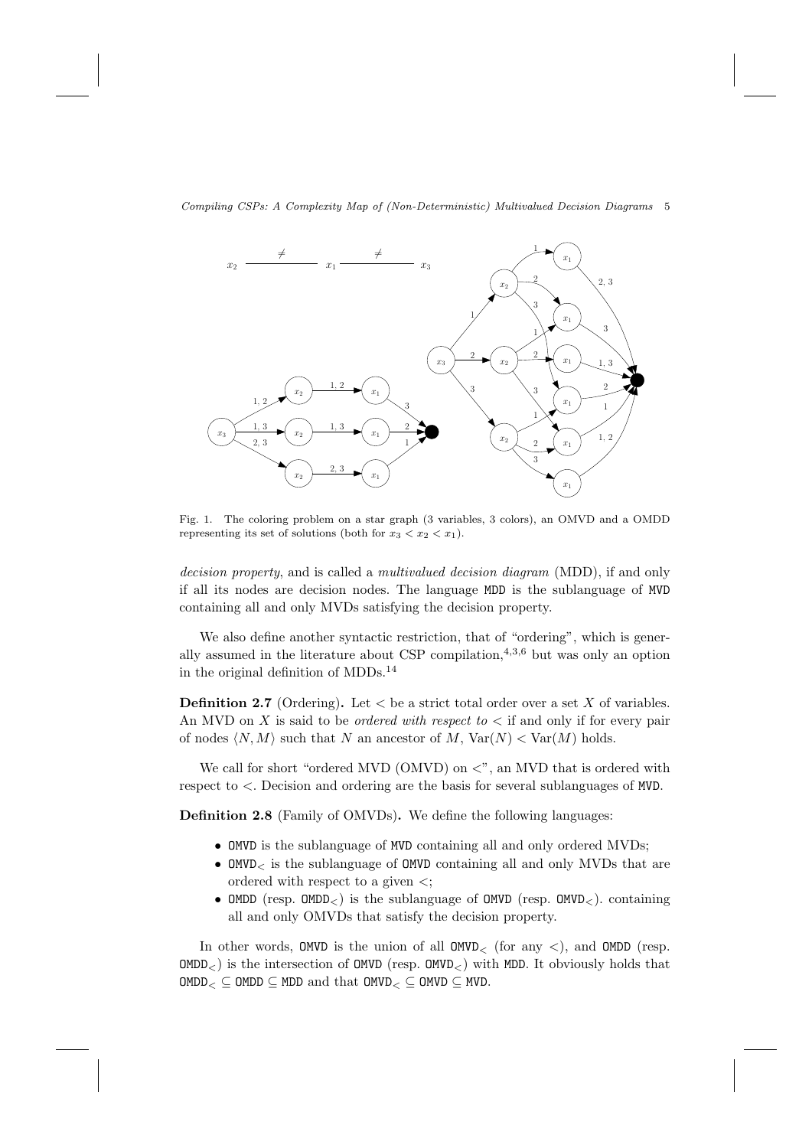

Fig. 1. The coloring problem on a star graph (3 variables, 3 colors), an OMVD and a OMDD representing its set of solutions (both for  $x_3 < x_2 < x_1$ ).

decision property, and is called a *multivalued decision diagram* (MDD), if and only if all its nodes are decision nodes. The language MDD is the sublanguage of MVD containing all and only MVDs satisfying the decision property.

We also define another syntactic restriction, that of "ordering", which is generally assumed in the literature about CSP compilation,  $4,3,6$  but was only an option in the original definition of MDDs.<sup>14</sup>

**Definition 2.7** (Ordering). Let  $\lt$  be a strict total order over a set X of variables. An MVD on X is said to be *ordered with respect to*  $\lt$  if and only if for every pair of nodes  $\langle N, M \rangle$  such that N an ancestor of M, Var $(N) <$  Var $(M)$  holds.

We call for short "ordered MVD (OMVD) on  $\lt$ ", an MVD that is ordered with respect to <. Decision and ordering are the basis for several sublanguages of MVD.

Definition 2.8 (Family of OMVDs). We define the following languages:

- OMVD is the sublanguage of MVD containing all and only ordered MVDs;
- $OMVD<sub>5</sub>$  is the sublanguage of  $OMVD$  containing all and only MVDs that are ordered with respect to a given <;
- OMDD (resp.  $OMDD<sub>></sub>$ ) is the sublanguage of OMVD (resp.  $OMVD<sub>></sub>$ ). containing all and only OMVDs that satisfy the decision property.

In other words, OMVD is the union of all  $OMVD<$  (for any  $\lt$ ), and OMDD (resp.  $OMDD<sub>></sub>$ ) is the intersection of  $OMVD$  (resp.  $OMVD<sub>></sub>$ ) with MDD. It obviously holds that  $OMDD<sub>≤</sub>$  OMDD  $\subseteq MDD$  and that  $OMVD<sub>≤</sub>$  OMVD  $\subseteq MVD$ .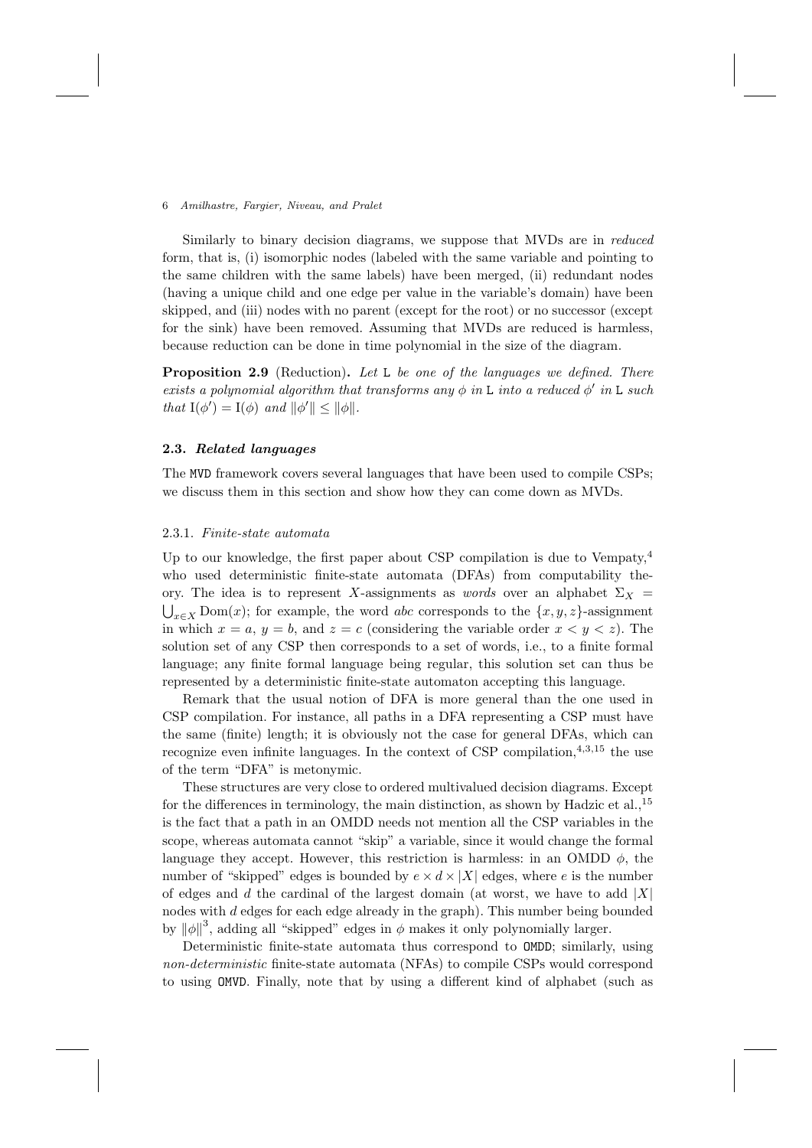Similarly to binary decision diagrams, we suppose that MVDs are in *reduced* form, that is, (i) isomorphic nodes (labeled with the same variable and pointing to the same children with the same labels) have been merged, (ii) redundant nodes (having a unique child and one edge per value in the variable's domain) have been skipped, and (iii) nodes with no parent (except for the root) or no successor (except for the sink) have been removed. Assuming that MVDs are reduced is harmless, because reduction can be done in time polynomial in the size of the diagram.

**Proposition 2.9** (Reduction). Let L be one of the languages we defined. There exists a polynomial algorithm that transforms any  $\phi$  in L into a reduced  $\phi'$  in L such that  $I(\phi') = I(\phi)$  and  $\|\phi'\| \le \|\phi\|.$ 

### 2.3. Related languages

The MVD framework covers several languages that have been used to compile CSPs; we discuss them in this section and show how they can come down as MVDs.

### 2.3.1. Finite-state automata

Up to our knowledge, the first paper about CSP compilation is due to Vempaty,<sup>4</sup> who used deterministic finite-state automata (DFAs) from computability theory. The idea is to represent X-assignments as words over an alphabet  $\Sigma_X$  =  $\bigcup_{x\in X}$  Dom(x); for example, the word *abc* corresponds to the  $\{x, y, z\}$ -assignment in which  $x = a, y = b$ , and  $z = c$  (considering the variable order  $x < y < z$ ). The solution set of any CSP then corresponds to a set of words, i.e., to a finite formal language; any finite formal language being regular, this solution set can thus be represented by a deterministic finite-state automaton accepting this language.

Remark that the usual notion of DFA is more general than the one used in CSP compilation. For instance, all paths in a DFA representing a CSP must have the same (finite) length; it is obviously not the case for general DFAs, which can recognize even infinite languages. In the context of CSP compilation,  $4,3,15$  the use of the term "DFA" is metonymic.

These structures are very close to ordered multivalued decision diagrams. Except for the differences in terminology, the main distinction, as shown by Hadzic et al.,  $^{15}$ is the fact that a path in an OMDD needs not mention all the CSP variables in the scope, whereas automata cannot "skip" a variable, since it would change the formal language they accept. However, this restriction is harmless: in an OMDD  $\phi$ , the number of "skipped" edges is bounded by  $e \times d \times |X|$  edges, where e is the number of edges and d the cardinal of the largest domain (at worst, we have to add  $|X|$ nodes with  $d$  edges for each edge already in the graph). This number being bounded by  $\|\phi\|^3$ , adding all "skipped" edges in  $\phi$  makes it only polynomially larger.

Deterministic finite-state automata thus correspond to OMDD; similarly, using non-deterministic finite-state automata (NFAs) to compile CSPs would correspond to using OMVD. Finally, note that by using a different kind of alphabet (such as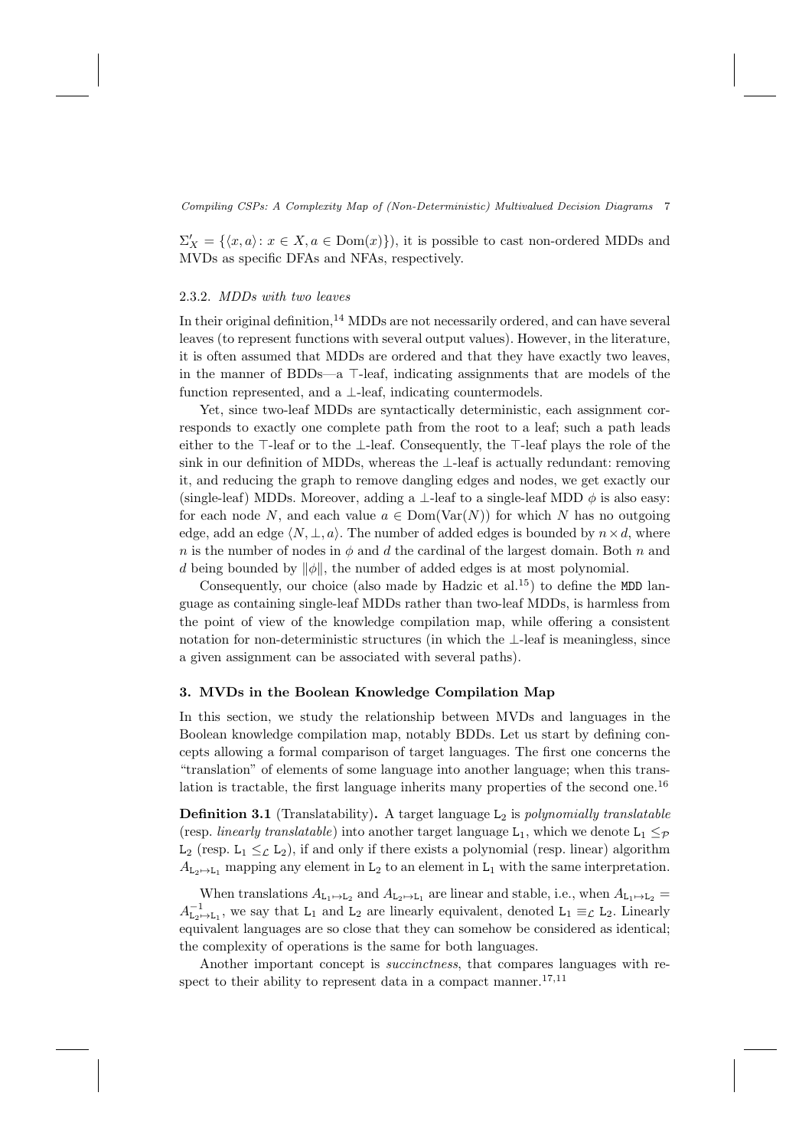$\Sigma'_X = \{ \langle x, a \rangle : x \in X, a \in \text{Dom}(x) \}$ , it is possible to cast non-ordered MDDs and MVDs as specific DFAs and NFAs, respectively.

### 2.3.2. MDDs with two leaves

In their original definition,  $^{14}$  MDDs are not necessarily ordered, and can have several leaves (to represent functions with several output values). However, in the literature, it is often assumed that MDDs are ordered and that they have exactly two leaves, in the manner of BDDs—a  $\top$ -leaf, indicating assignments that are models of the function represented, and a  $\perp$ -leaf, indicating countermodels.

Yet, since two-leaf MDDs are syntactically deterministic, each assignment corresponds to exactly one complete path from the root to a leaf; such a path leads either to the ⊤-leaf or to the ⊥-leaf. Consequently, the ⊤-leaf plays the role of the sink in our definition of MDDs, whereas the ⊥-leaf is actually redundant: removing it, and reducing the graph to remove dangling edges and nodes, we get exactly our (single-leaf) MDDs. Moreover, adding a  $\perp$ -leaf to a single-leaf MDD  $\phi$  is also easy: for each node N, and each value  $a \in Dom(Var(N))$  for which N has no outgoing edge, add an edge  $\langle N, \perp, a \rangle$ . The number of added edges is bounded by  $n \times d$ , where n is the number of nodes in  $\phi$  and d the cardinal of the largest domain. Both n and d being bounded by  $\|\phi\|$ , the number of added edges is at most polynomial.

Consequently, our choice (also made by Hadzic et al.<sup>15</sup>) to define the MDD language as containing single-leaf MDDs rather than two-leaf MDDs, is harmless from the point of view of the knowledge compilation map, while offering a consistent notation for non-deterministic structures (in which the ⊥-leaf is meaningless, since a given assignment can be associated with several paths).

# 3. MVDs in the Boolean Knowledge Compilation Map

In this section, we study the relationship between MVDs and languages in the Boolean knowledge compilation map, notably BDDs. Let us start by defining concepts allowing a formal comparison of target languages. The first one concerns the "translation" of elements of some language into another language; when this translation is tractable, the first language inherits many properties of the second one.<sup>16</sup>

**Definition 3.1** (Translatability). A target language  $L_2$  is polynomially translatable (resp. *linearly translatable*) into another target language  $L_1$ , which we denote  $L_1 \leq_P$  $L_2$  (resp.  $L_1 \leq \mathcal{L} L_2$ ), if and only if there exists a polynomial (resp. linear) algorithm  $A_{L_2\mapsto L_1}$  mapping any element in  $L_2$  to an element in  $L_1$  with the same interpretation.

When translations  $A_{L_1\mapsto L_2}$  and  $A_{L_2\mapsto L_1}$  are linear and stable, i.e., when  $A_{L_1\mapsto L_2}$  $A_{L_2\mapsto L_1}^{-1}$ , we say that  $L_1$  and  $L_2$  are linearly equivalent, denoted  $L_1 \equiv_C L_2$ . Linearly equivalent languages are so close that they can somehow be considered as identical; the complexity of operations is the same for both languages.

Another important concept is *succinctness*, that compares languages with respect to their ability to represent data in a compact manner.<sup>17,11</sup>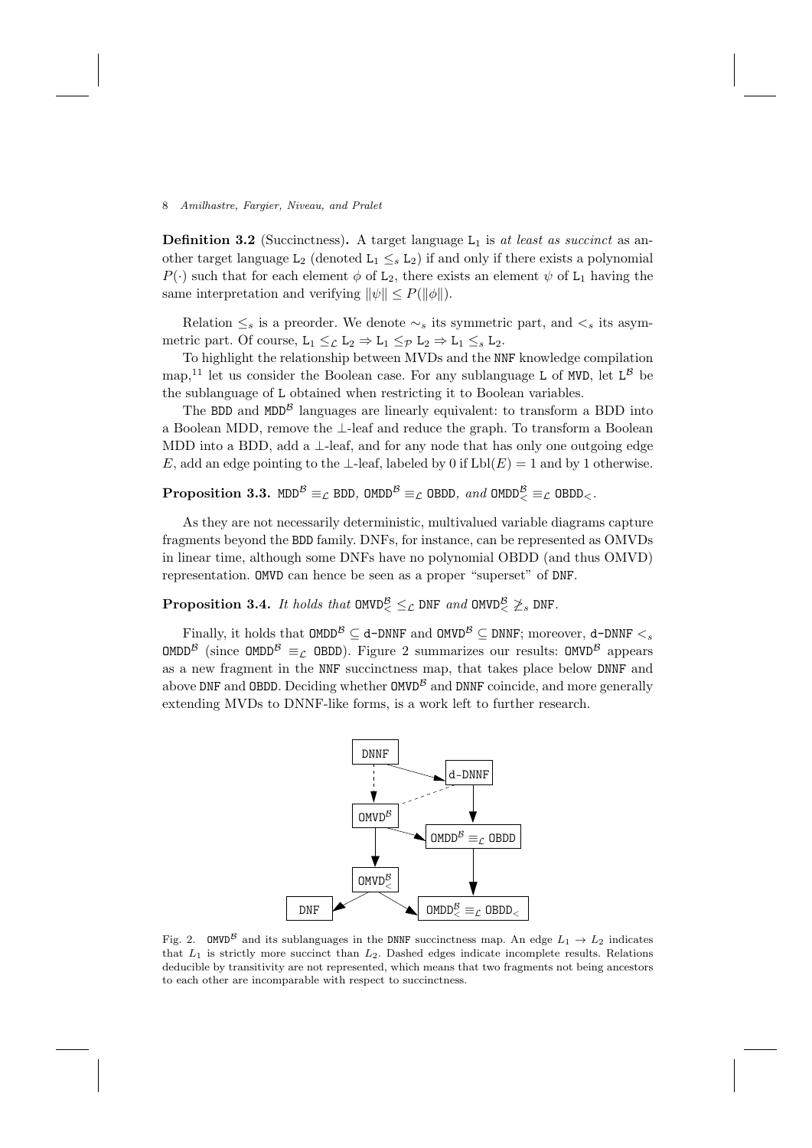**Definition 3.2** (Succinctness). A target language  $L_1$  is at least as succinct as another target language  $L_2$  (denoted  $L_1 \leq_s L_2$ ) if and only if there exists a polynomial  $P(\cdot)$  such that for each element  $\phi$  of  $L_2$ , there exists an element  $\psi$  of  $L_1$  having the same interpretation and verifying  $\|\psi\| \leq P(\|\phi\|).$ 

Relation  $\leq_s$  is a preorder. We denote  $\sim_s$  its symmetric part, and  $\leq_s$  its asymmetric part. Of course,  $L_1 \leq_{\mathcal{L}} L_2 \Rightarrow L_1 \leq_{\mathcal{P}} L_2 \Rightarrow L_1 \leq_{s} L_2$ .

To highlight the relationship between MVDs and the NNF knowledge compilation map,<sup>11</sup> let us consider the Boolean case. For any sublanguage L of MVD, let  $L^{\mathcal{B}}$  be the sublanguage of L obtained when restricting it to Boolean variables.

The BDD and  $MDD^B$  languages are linearly equivalent: to transform a BDD into a Boolean MDD, remove the ⊥-leaf and reduce the graph. To transform a Boolean MDD into a BDD, add a  $\perp$ -leaf, and for any node that has only one outgoing edge E, add an edge pointing to the ⊥-leaf, labeled by 0 if  $Lbl(E) = 1$  and by 1 otherwise.

**Proposition 3.3.** MDD<sup>B</sup>  $\equiv$   $\mathcal{L}$  BDD, OMDD<sup>B</sup>  $\equiv$   $\mathcal{L}$  OBDD, and OMDD<sup>B</sup>  $\equiv$   $\mathcal{L}$  OBDD<sub><</sub>.

As they are not necessarily deterministic, multivalued variable diagrams capture fragments beyond the BDD family. DNFs, for instance, can be represented as OMVDs in linear time, although some DNFs have no polynomial OBDD (and thus OMVD) representation. OMVD can hence be seen as a proper "superset" of DNF.

# **Proposition 3.4.** It holds that  $\text{OMVD}_{\leq}^{\mathcal{B}} \leq_{\mathcal{L}} \text{DNF}$  and  $\text{OMVD}_{\leq}^{\mathcal{B}} \ngeq_{s} \text{DNF}$ .

Finally, it holds that  $OMDD^B \subseteq d$ -DNNF and  $OMVD^B \subseteq DNNF$ ; moreover, d-DNNF  $\leq_s$ OMDD<sup>B</sup> (since OMDD<sup>B</sup>  $\equiv$  C OBDD). Figure 2 summarizes our results: OMVD<sup>B</sup> appears as a new fragment in the NNF succinctness map, that takes place below DNNF and above DNF and OBDD. Deciding whether  $OMVD^B$  and DNNF coincide, and more generally extending MVDs to DNNF-like forms, is a work left to further research.



Fig. 2. OMVD<sup>B</sup> and its sublanguages in the DNNF succinctness map. An edge  $L_1 \rightarrow L_2$  indicates that  $L_1$  is strictly more succinct than  $L_2$ . Dashed edges indicate incomplete results. Relations deducible by transitivity are not represented, which means that two fragments not being ancestors to each other are incomparable with respect to succinctness.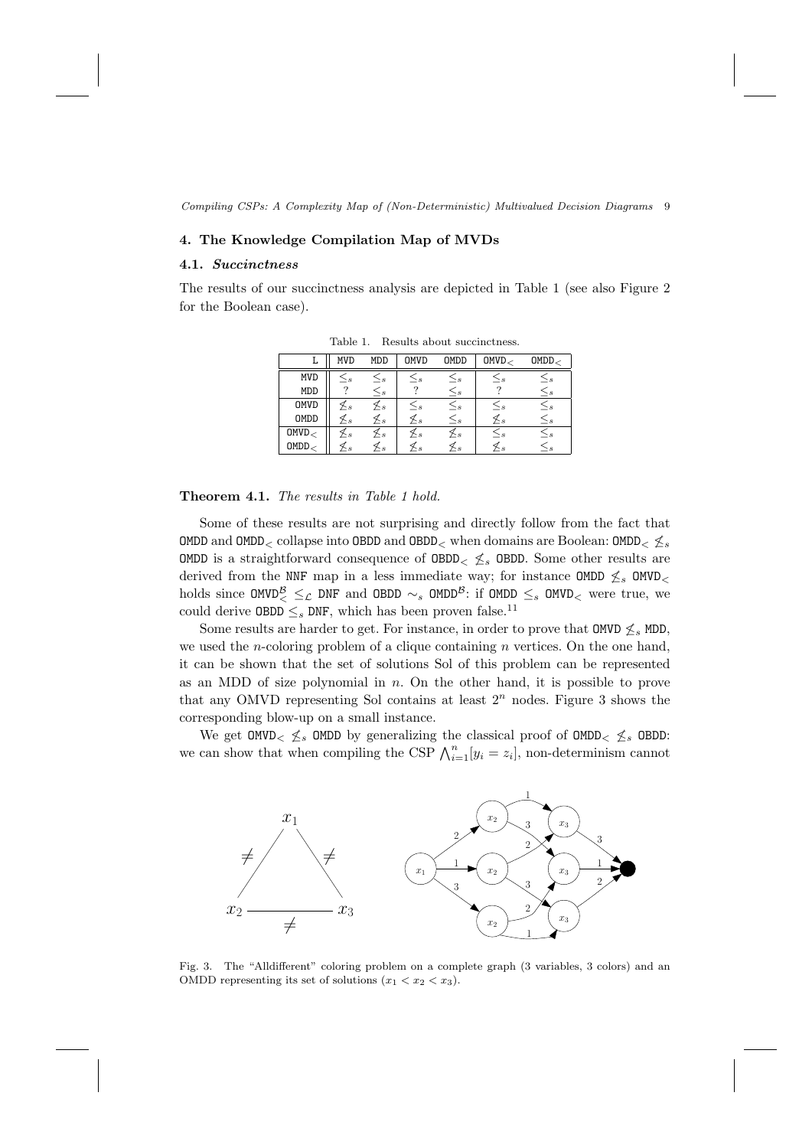### 4. The Knowledge Compilation Map of MVDs

## 4.1. Succinctness

The results of our succinctness analysis are depicted in Table 1 (see also Figure 2 for the Boolean case).

|             | <b>MVD</b>  | MDD          | OMVD                       | OMDD          | OMVD <                   | OMDD <                     |
|-------------|-------------|--------------|----------------------------|---------------|--------------------------|----------------------------|
| <b>MVD</b>  | $\sim$ s    | $<_{s}$      | $\overline{\phantom{a}}$ s | $\varsigma_s$ | $\backsim_{\mathcal{S}}$ | $\sim$ s                   |
| MDD         |             | $\leq_s$     |                            | $\leq_s$      |                          | $\leq_s$                   |
| OMVD        | ⊁s          | $\not\leq s$ | $\overline{s}$             | $\lt_s$       | $\backsim_{\mathcal{S}}$ | $<_{s}$                    |
| OMDD        | $\succeq$ s | ⊁s           | ⊁s                         | $\leq_s$      | $\succeq$ s              | $\leq s$                   |
| OMVD        | $\succeq$ s | Ł s          | ≻s                         | $\succeq$ s   | $\leq_s$                 | $\leq s$                   |
| $0$ MDD $<$ | $\succeq$ s | ⊁s           | $\times s$                 | ⊁s            | $\times s$               | $\overline{\phantom{a}} s$ |

Table 1. Results about succinctness.

### Theorem 4.1. The results in Table 1 hold.

Some of these results are not surprising and directly follow from the fact that OMDD and OMDD<sub><</sub> collapse into OBDD and OBDD<sub><</sub> when domains are Boolean: OMDD<sub><</sub>  $\leq$ <sub>s</sub> OMDD is a straightforward consequence of OBDD<sub><  $\leq s$ </sub> OBDD. Some other results are derived from the NNF map in a less immediate way; for instance OMDD  $\leq_s$  OMVD<sub><</sub> holds since  $OMVD^{\mathcal{B}}_{\leq}$  ≤ DNF and OBDD  $\sim_s$  OMDD<sup>B</sup>: if  $OMDD \leq_s$  OMVD<sub><</sub> were true, we could derive **OBDD**  $\leq_s$  DNF, which has been proven false.<sup>11</sup>

Some results are harder to get. For instance, in order to prove that  $OMVD \nleq_s MDD$ , we used the *n*-coloring problem of a clique containing  $n$  vertices. On the one hand, it can be shown that the set of solutions Sol of this problem can be represented as an MDD of size polynomial in  $n$ . On the other hand, it is possible to prove that any OMVD representing Sol contains at least  $2<sup>n</sup>$  nodes. Figure 3 shows the corresponding blow-up on a small instance.

We get  $OMVD < \nleq_s$  OMDD by generalizing the classical proof of  $OMDD < \nleq_s$  OBDD: we can show that when compiling the CSP  $\bigwedge_{i=1}^{n} [y_i = z_i]$ , non-determinism cannot



Fig. 3. The "Alldifferent" coloring problem on a complete graph (3 variables, 3 colors) and an OMDD representing its set of solutions  $(x_1 < x_2 < x_3)$ .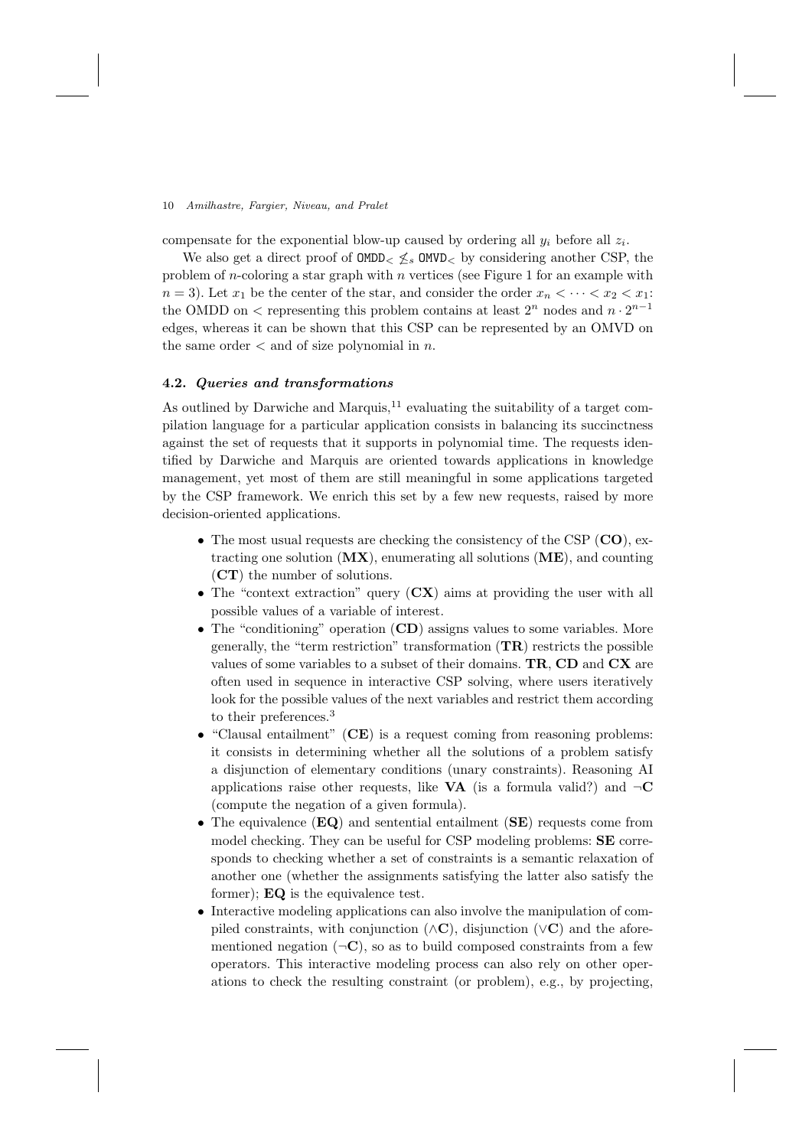compensate for the exponential blow-up caused by ordering all  $y_i$  before all  $z_i$ .

We also get a direct proof of  $OMDD<sub>≤</sub>$  OMVD<sub><</sub> by considering another CSP, the problem of *n*-coloring a star graph with *n* vertices (see Figure 1 for an example with  $n = 3$ ). Let  $x_1$  be the center of the star, and consider the order  $x_n < \cdots < x_2 < x_1$ : the OMDD on < representing this problem contains at least  $2^n$  nodes and  $n \cdot 2^{n-1}$ edges, whereas it can be shown that this CSP can be represented by an OMVD on the same order  $\lt$  and of size polynomial in *n*.

# 4.2. Queries and transformations

As outlined by Darwiche and Marquis,<sup>11</sup> evaluating the suitability of a target compilation language for a particular application consists in balancing its succinctness against the set of requests that it supports in polynomial time. The requests identified by Darwiche and Marquis are oriented towards applications in knowledge management, yet most of them are still meaningful in some applications targeted by the CSP framework. We enrich this set by a few new requests, raised by more decision-oriented applications.

- The most usual requests are checking the consistency of the CSP  $(CO)$ , extracting one solution  $(MX)$ , enumerating all solutions  $(ME)$ , and counting (CT) the number of solutions.
- The "context extraction" query  $(CX)$  aims at providing the user with all possible values of a variable of interest.
- The "conditioning" operation (CD) assigns values to some variables. More generally, the "term restriction" transformation  $(\mathbf{TR})$  restricts the possible values of some variables to a subset of their domains. TR, CD and CX are often used in sequence in interactive CSP solving, where users iteratively look for the possible values of the next variables and restrict them according to their preferences.<sup>3</sup>
- "Clausal entailment"  $(CE)$  is a request coming from reasoning problems: it consists in determining whether all the solutions of a problem satisfy a disjunction of elementary conditions (unary constraints). Reasoning AI applications raise other requests, like **VA** (is a formula valid?) and  $\neg$ **C** (compute the negation of a given formula).
- The equivalence (EQ) and sentential entailment (SE) requests come from model checking. They can be useful for CSP modeling problems: SE corresponds to checking whether a set of constraints is a semantic relaxation of another one (whether the assignments satisfying the latter also satisfy the former);  $\mathbf{EQ}$  is the equivalence test.
- Interactive modeling applications can also involve the manipulation of compiled constraints, with conjunction ( $\land$ C), disjunction ( $\lor$ C) and the aforementioned negation  $(\neg \mathbf{C})$ , so as to build composed constraints from a few operators. This interactive modeling process can also rely on other operations to check the resulting constraint (or problem), e.g., by projecting,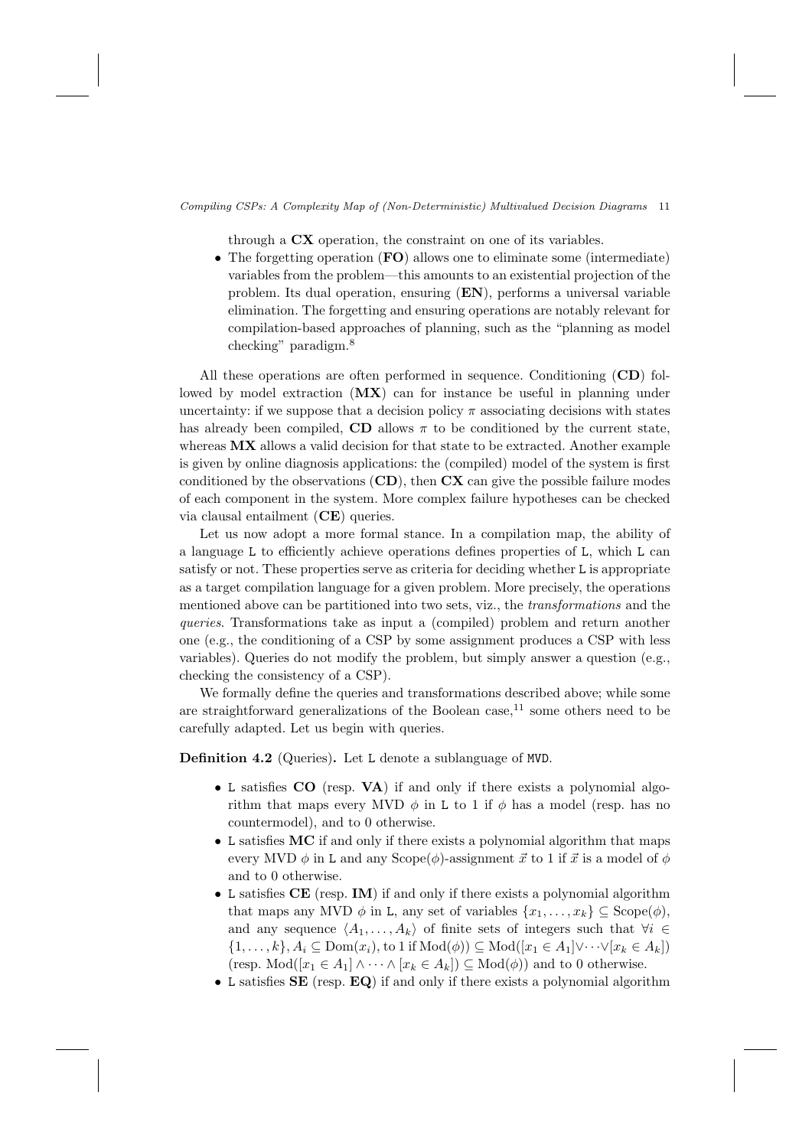through a CX operation, the constraint on one of its variables.

• The forgetting operation (FO) allows one to eliminate some (intermediate) variables from the problem—this amounts to an existential projection of the problem. Its dual operation, ensuring (EN), performs a universal variable elimination. The forgetting and ensuring operations are notably relevant for compilation-based approaches of planning, such as the "planning as model checking" paradigm.<sup>8</sup>

All these operations are often performed in sequence. Conditioning (CD) followed by model extraction  $(MX)$  can for instance be useful in planning under uncertainty: if we suppose that a decision policy  $\pi$  associating decisions with states has already been compiled. CD allows  $\pi$  to be conditioned by the current state, whereas  $MX$  allows a valid decision for that state to be extracted. Another example is given by online diagnosis applications: the (compiled) model of the system is first conditioned by the observations  $(CD)$ , then  $CX$  can give the possible failure modes of each component in the system. More complex failure hypotheses can be checked via clausal entailment (CE) queries.

Let us now adopt a more formal stance. In a compilation map, the ability of a language L to efficiently achieve operations defines properties of L, which L can satisfy or not. These properties serve as criteria for deciding whether L is appropriate as a target compilation language for a given problem. More precisely, the operations mentioned above can be partitioned into two sets, viz., the transformations and the queries. Transformations take as input a (compiled) problem and return another one (e.g., the conditioning of a CSP by some assignment produces a CSP with less variables). Queries do not modify the problem, but simply answer a question (e.g., checking the consistency of a CSP).

We formally define the queries and transformations described above; while some are straightforward generalizations of the Boolean case, $^{11}$  some others need to be carefully adapted. Let us begin with queries.

Definition 4.2 (Queries). Let L denote a sublanguage of MVD.

- L satisfies CO (resp. VA) if and only if there exists a polynomial algorithm that maps every MVD  $\phi$  in L to 1 if  $\phi$  has a model (resp. has no countermodel), and to 0 otherwise.
- L satisfies MC if and only if there exists a polynomial algorithm that maps every MVD  $\phi$  in L and any Scope( $\phi$ )-assignment  $\vec{x}$  to 1 if  $\vec{x}$  is a model of  $\phi$ and to 0 otherwise.
- L satisfies CE (resp. IM) if and only if there exists a polynomial algorithm that maps any MVD  $\phi$  in L, any set of variables  $\{x_1, \ldots, x_k\} \subseteq \text{Scope}(\phi)$ , and any sequence  $\langle A_1, \ldots, A_k \rangle$  of finite sets of integers such that  $\forall i \in$  $\{1,\ldots,k\},A_i\subseteq \text{Dom}(x_i),$  to 1 if  $\text{Mod}(\phi)$ )  $\subseteq \text{Mod}([x_1 \in A_1]\vee \cdots \vee [x_k \in A_k])$ (resp.  $Mod([x_1 \in A_1] \wedge \cdots \wedge [x_k \in A_k]) \subseteq Mod(\phi)$ ) and to 0 otherwise.
- L satisfies **SE** (resp. **EQ**) if and only if there exists a polynomial algorithm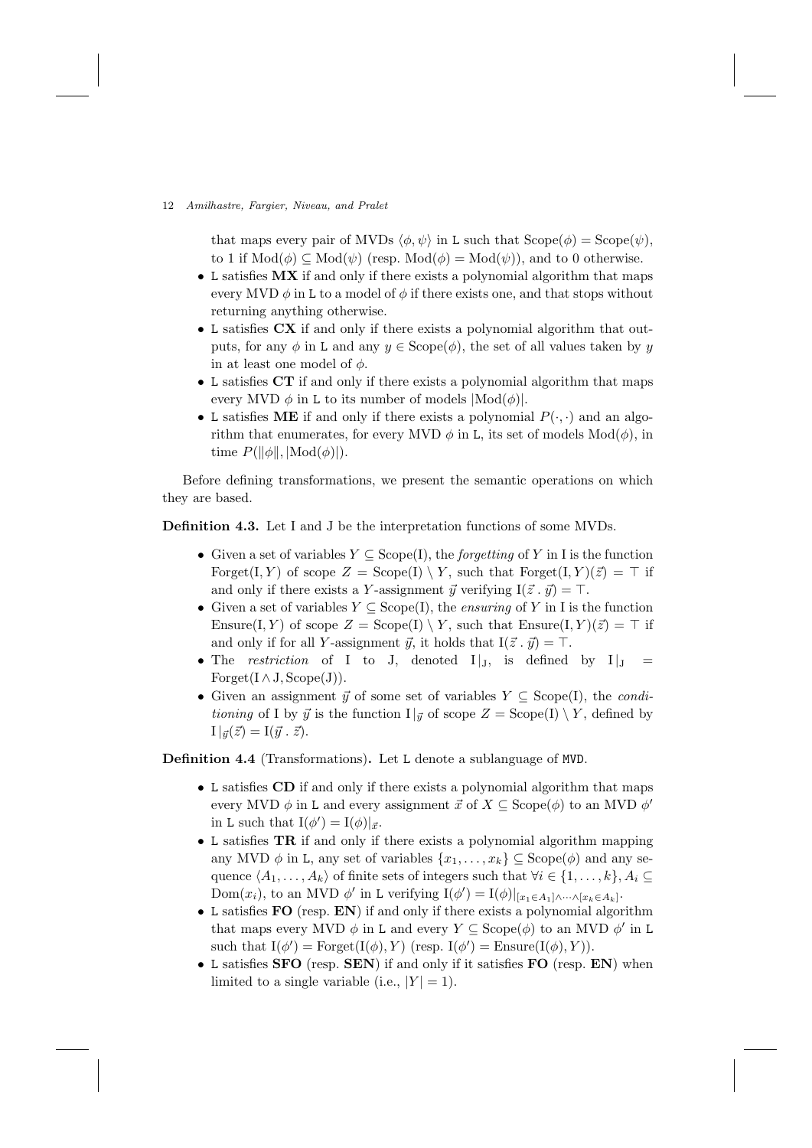that maps every pair of MVDs  $\langle \phi, \psi \rangle$  in L such that  $\text{Scope}(\phi) = \text{Scope}(\psi)$ , to 1 if  $Mod(\phi) \subseteq Mod(\psi)$  (resp.  $Mod(\phi) = Mod(\psi)$ ), and to 0 otherwise.

- L satisfies  $MX$  if and only if there exists a polynomial algorithm that maps every MVD  $\phi$  in L to a model of  $\phi$  if there exists one, and that stops without returning anything otherwise.
- L satisfies  $\mathbf{C}\mathbf{X}$  if and only if there exists a polynomial algorithm that outputs, for any  $\phi$  in L and any  $y \in \text{Scope}(\phi)$ , the set of all values taken by y in at least one model of  $\phi$ .
- L satisfies CT if and only if there exists a polynomial algorithm that maps every MVD  $\phi$  in L to its number of models  $|Mod(\phi)|$ .
- L satisfies **ME** if and only if there exists a polynomial  $P(\cdot, \cdot)$  and an algorithm that enumerates, for every MVD  $\phi$  in L, its set of models  $Mod(\phi)$ , in time  $P(\|\phi\|, |\text{Mod}(\phi)|).$

Before defining transformations, we present the semantic operations on which they are based.

Definition 4.3. Let I and J be the interpretation functions of some MVDs.

- Given a set of variables  $Y \subseteq \text{Scope}(I)$ , the *forgetting* of Y in I is the function Forget(I, Y) of scope  $Z = \text{Scope}(I) \setminus Y$ , such that  $\text{Forest}(I, Y)(\vec{z}) = \top$  if and only if there exists a Y-assignment  $\vec{y}$  verifying  $I(\vec{z} \cdot \vec{y}) = \top$ .
- Given a set of variables  $Y \subseteq \text{Scope}(I)$ , the ensuring of Y in I is the function Ensure(I, Y) of scope  $Z = \text{Scope}(I) \setminus Y$ , such that  $\text{Ensure}(I, Y)(\vec{z}) = \top$  if and only if for all Y-assignment  $\vec{y}$ , it holds that  $I(\vec{z} \cdot \vec{y}) = \top$ .
- The restriction of I to J, denoted  $I|_J$ , is defined by  $I|_J$  $\text{Forget}(I \wedge J, \text{Scope}(J)).$
- Given an assignment  $\vec{y}$  of some set of variables  $Y \subseteq \text{Scope}(I)$ , the conditioning of I by  $\vec{y}$  is the function  $I|_{\vec{y}}$  of scope  $Z = \text{Scope}(I) \setminus Y$ , defined by  $I|_{\vec{y}}(\vec{z}) = I(\vec{y} \cdot \vec{z}).$

Definition 4.4 (Transformations). Let L denote a sublanguage of MVD.

- L satisfies CD if and only if there exists a polynomial algorithm that maps every MVD  $\phi$  in  $\tt L$  and every assignment  $\vec{x}$  of  $X \subseteq \mathit{Scope}(\phi)$  to an MVD  $\phi'$ in L such that  $I(\phi') = I(\phi)|_{\vec{x}}$ .
- L satisfies TR if and only if there exists a polynomial algorithm mapping any MVD  $\phi$  in L, any set of variables  $\{x_1, \ldots, x_k\} \subseteq \text{Scope}(\phi)$  and any sequence  $\langle A_1, \ldots, A_k \rangle$  of finite sets of integers such that  $\forall i \in \{1, \ldots, k\}, A_i \subseteq$ Dom $(x_i)$ , to an MVD  $\phi'$  in L verifying  $I(\phi') = I(\phi)|_{[x_1 \in A_1] \wedge \cdots \wedge [x_k \in A_k]}$ .
- L satisfies FO (resp. EN) if and only if there exists a polynomial algorithm that maps every MVD  $\phi$  in  $\tt L$  and every  $Y \subseteq \mathit{Scope}(\phi)$  to an MVD  $\phi'$  in  $\tt L$ such that  $I(\phi') = \text{Forget}(I(\phi), Y)$  (resp.  $I(\phi') = \text{Ensure}(I(\phi), Y)$ ).
- L satisfies **SFO** (resp. **SEN**) if and only if it satisfies **FO** (resp. **EN**) when limited to a single variable (i.e.,  $|Y| = 1$ ).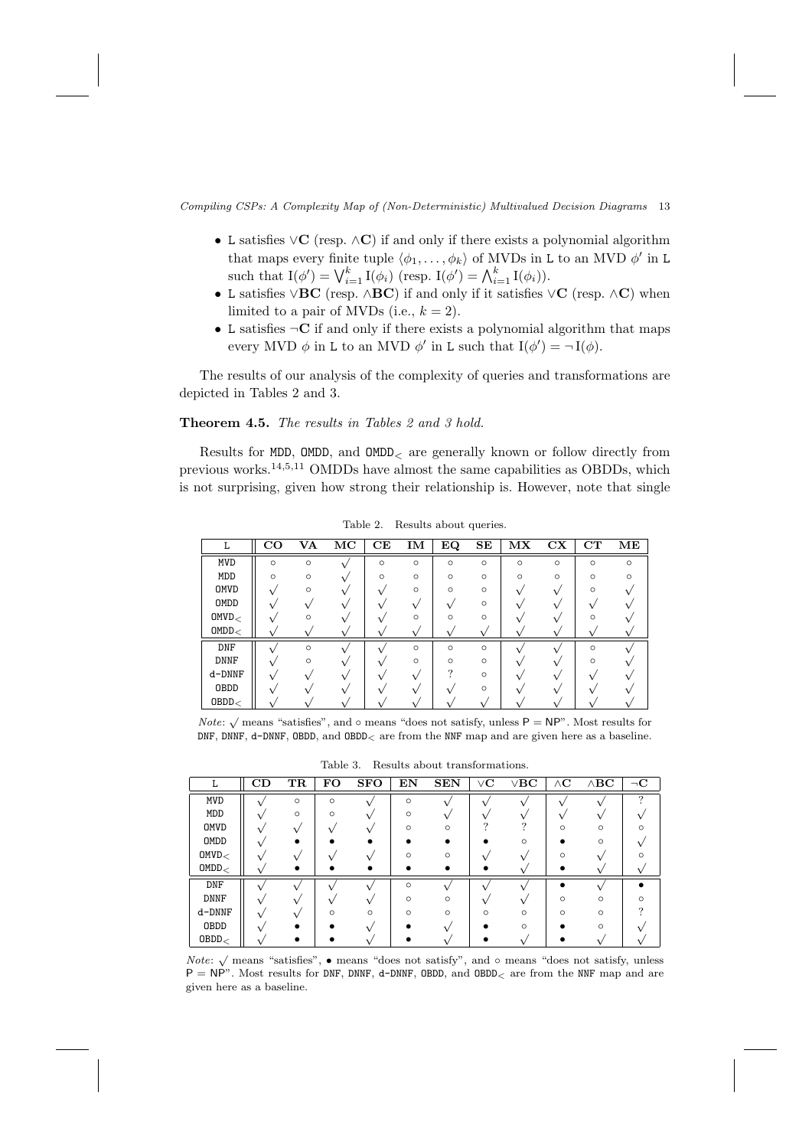- L satisfies ∨C (resp. ∧C) if and only if there exists a polynomial algorithm that maps every finite tuple  $\langle \phi_1, \ldots, \phi_k \rangle$  of MVDs in L to an MVD  $\phi'$  in L such that  $I(\phi') = \bigvee_{i=1}^{k} I(\phi_i)$  (resp.  $I(\phi') = \bigwedge_{i=1}^{k} I(\phi_i)$ ).
- L satisfies  $\vee$ BC (resp.  $\wedge$ BC) if and only if it satisfies  $\vee$ C (resp.  $\wedge$ C) when limited to a pair of MVDs (i.e.,  $k = 2$ ).
- L satisfies  $\neg$ **C** if and only if there exists a polynomial algorithm that maps every MVD  $\phi$  in L to an MVD  $\phi'$  in L such that  $I(\phi') = \neg I(\phi)$ .

The results of our analysis of the complexity of queries and transformations are depicted in Tables 2 and 3.

### Theorem 4.5. The results in Tables 2 and 3 hold.

Results for MDD, OMDD, and OMDD<sup>&</sup>lt; are generally known or follow directly from previous works.<sup>14</sup>,5,<sup>11</sup> OMDDs have almost the same capabilities as OBDDs, which is not surprising, given how strong their relationship is. However, note that single

| L           | CO      | VA       | MC | CE      | IM      | EQ       | <b>SE</b> | MX      | $\mathbf{C} \mathbf{X}$ | CT       | $\mathbf{ME}$ |
|-------------|---------|----------|----|---------|---------|----------|-----------|---------|-------------------------|----------|---------------|
| <b>MVD</b>  | $\circ$ | $\circ$  |    | $\circ$ | $\circ$ | $\circ$  | $\circ$   | $\circ$ | $\circ$                 | $\circ$  | $\circ$       |
| MDD         | $\circ$ | $\circ$  |    | $\circ$ | $\circ$ | $\Omega$ | $\circ$   | $\circ$ | $\circ$                 | $\circ$  | $\circ$       |
| OMVD        |         | $\circ$  |    |         | $\circ$ | $\Omega$ | $\circ$   |         |                         | $\circ$  |               |
| OMDD        |         |          |    |         |         |          | $\circ$   |         |                         |          |               |
| OMVD <      |         | O        |    |         | O       | Ω        | $\circ$   |         |                         | Ω        |               |
| OMDD <      |         |          |    |         |         |          |           |         |                         |          |               |
| <b>DNF</b>  |         | $\Omega$ |    |         | $\circ$ | $\Omega$ | $\Omega$  |         |                         | $\Omega$ |               |
| <b>DNNF</b> |         | $\Omega$ |    |         | $\circ$ | $\Omega$ | $\circ$   |         |                         | $\Omega$ |               |
| d-DNNF      |         |          |    |         |         |          | $\circ$   |         |                         |          |               |
| <b>OBDD</b> |         |          |    |         |         |          | $\circ$   |         |                         |          |               |
| $0$ BDD $<$ |         |          |    |         |         |          |           |         |                         |          |               |

Table 2. Results about queries.

*Note*:  $\sqrt{\ }$  means "satisfies", and ○ means "does not satisfy, unless P = NP". Most results for DNF, DNNF, d-DNNF, OBDD, and OBDD< are from the NNF map and are given here as a baseline.

Table 3. Results about transformations.

| L            | $_{\rm CD}$ | TR      | FO       | <b>SFO</b> | EN       | <b>SEN</b> | $\vee {\bf C}$ | $\vee$ BC | $\wedge {\bf C}$ | $\wedge {\bf BC}$ | $\neg \mathbf{C}$ |
|--------------|-------------|---------|----------|------------|----------|------------|----------------|-----------|------------------|-------------------|-------------------|
| MVD          |             | $\circ$ | $\circ$  |            | $\Omega$ |            |                |           |                  |                   | $\Omega$          |
| MDD          |             | $\circ$ | $\Omega$ |            | $\Omega$ |            |                |           |                  |                   |                   |
| OMVD         |             |         |          |            | $\circ$  | $\circ$    | $\Omega$       |           | $\circ$          | $\circ$           |                   |
| OMDD         |             |         |          |            |          |            |                | $\circ$   |                  | $\circ$           |                   |
| OMVD <       |             |         |          |            | $\Omega$ | $\circ$    |                |           | $\circ$          |                   |                   |
| OMDD <       |             |         |          |            |          |            |                |           |                  |                   |                   |
| DNF          |             |         |          |            | $\Omega$ |            |                |           |                  |                   |                   |
| <b>DNNF</b>  |             |         |          |            | $\Omega$ | $\Omega$   |                |           | $\circ$          | $\Omega$          |                   |
| $d$ -DNN $F$ |             |         | $\Omega$ | $\Omega$   | $\Omega$ | $\circ$    | $\circ$        | $\circ$   | $\circ$          | $\circ$           |                   |
| <b>OBDD</b>  |             |         |          |            |          |            |                | $\circ$   |                  | $\circ$           |                   |
| $0$ BDD $<$  |             |         |          |            |          |            |                |           |                  |                   |                   |

 $\overline{\mathit{Note}}: \sqrt{\text{ means "satisfies",} \bullet \text{ means "does not satisfy", and ∘ means "does not satisfy, unless}}$  $P = NP$ ". Most results for DNF, DNNF, d-DNNF, OBDD, and OBDD<sub><</sub> are from the NNF map and are given here as a baseline.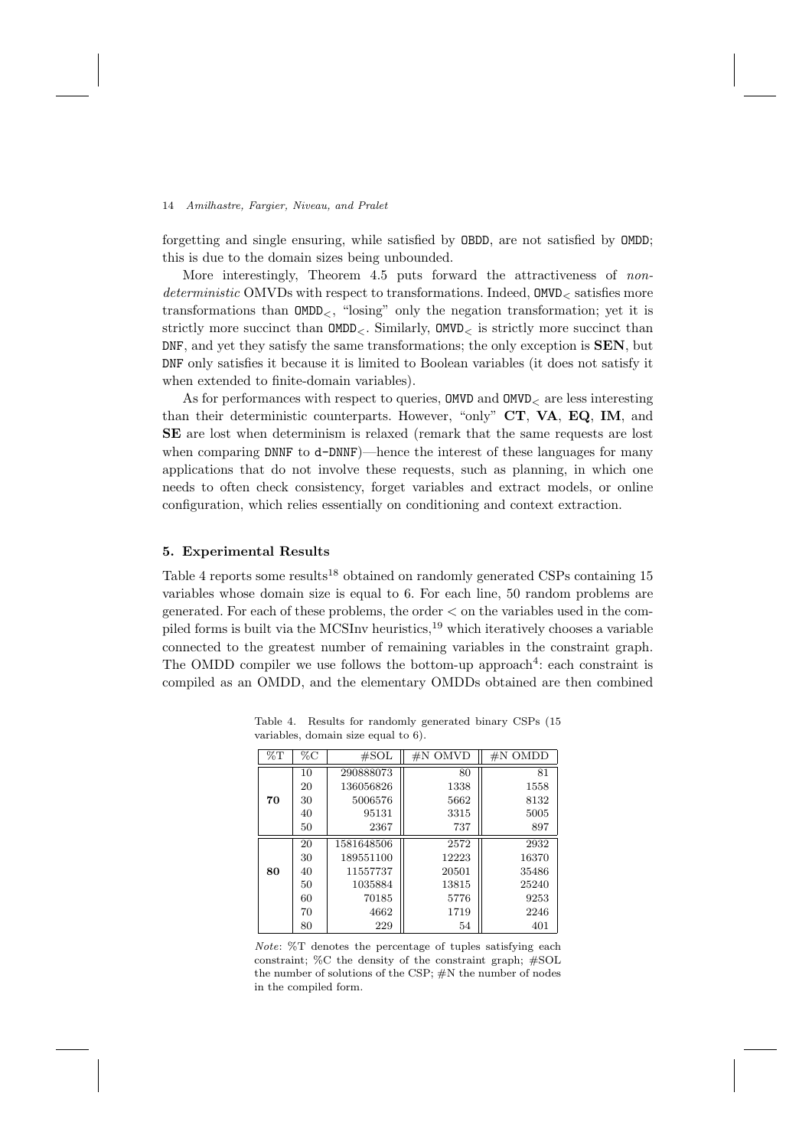forgetting and single ensuring, while satisfied by OBDD, are not satisfied by OMDD; this is due to the domain sizes being unbounded.

More interestingly, Theorem 4.5 puts forward the attractiveness of nondeterministic OMVDs with respect to transformations. Indeed,  $OMVD<sub>5</sub>$  satisfies more transformations than  $OMDD<sub>lt</sub>$ , "losing" only the negation transformation; yet it is strictly more succinct than  $OMDD_{\leq}$ . Similarly,  $OMVD_{\leq}$  is strictly more succinct than DNF, and yet they satisfy the same transformations; the only exception is **SEN**, but DNF only satisfies it because it is limited to Boolean variables (it does not satisfy it when extended to finite-domain variables).

As for performances with respect to queries, OMVD and OMVD<sub><</sub> are less interesting than their deterministic counterparts. However, "only"  $CT$ ,  $VA$ ,  $EQ$ , IM, and SE are lost when determinism is relaxed (remark that the same requests are lost when comparing DNNF to d-DNNF)—hence the interest of these languages for many applications that do not involve these requests, such as planning, in which one needs to often check consistency, forget variables and extract models, or online configuration, which relies essentially on conditioning and context extraction.

### 5. Experimental Results

Table 4 reports some results<sup>18</sup> obtained on randomly generated CSPs containing 15 variables whose domain size is equal to 6. For each line, 50 random problems are generated. For each of these problems, the order < on the variables used in the compiled forms is built via the MCSInv heuristics, $19$  which iteratively chooses a variable connected to the greatest number of remaining variables in the constraint graph. The OMDD compiler we use follows the bottom-up approach<sup>4</sup>: each constraint is compiled as an OMDD, and the elementary OMDDs obtained are then combined

| $\%T$ | %C | $\#SOL$    | $#N$ OMVD | $#N$ OMDD |
|-------|----|------------|-----------|-----------|
|       | 10 | 290888073  | 80        | 81        |
|       | 20 | 136056826  | 1338      | 1558      |
| 70    | 30 | 5006576    | 5662      | 8132      |
|       | 40 | 95131      | 3315      | 5005      |
|       | 50 | 2367       | 737       | 897       |
|       | 20 | 1581648506 | 2572      | 2932      |
|       | 30 | 189551100  | 12223     | 16370     |
| 80    | 40 | 11557737   | 20501     | 35486     |
|       | 50 | 1035884    | 13815     | 25240     |
|       | 60 | 70185      | 5776      | 9253      |
|       | 70 | 4662       | 1719      | 2246      |
|       | 80 | 229        | 54        | 401       |

Table 4. Results for randomly generated binary CSPs (15 variables, domain size equal to 6).

Note: %T denotes the percentage of tuples satisfying each constraint; %C the density of the constraint graph; #SOL the number of solutions of the CSP; #N the number of nodes in the compiled form.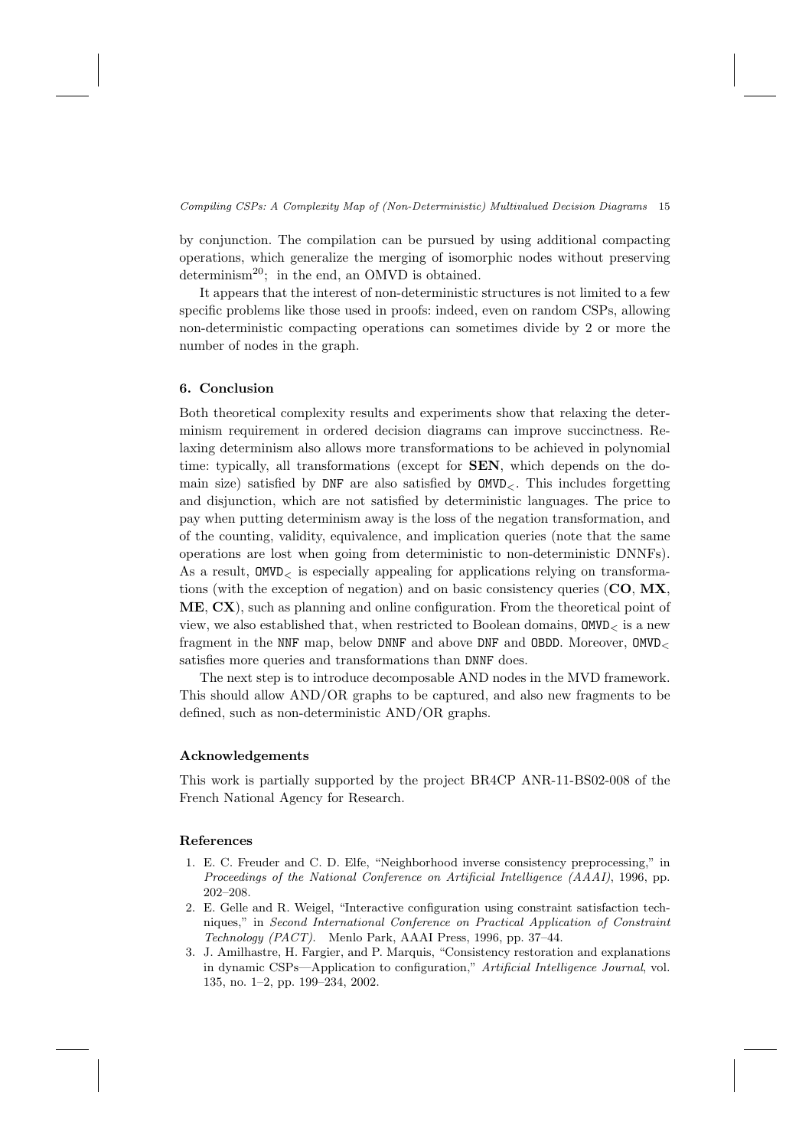by conjunction. The compilation can be pursued by using additional compacting operations, which generalize the merging of isomorphic nodes without preserving determinism<sup>20</sup>; in the end, an OMVD is obtained.

It appears that the interest of non-deterministic structures is not limited to a few specific problems like those used in proofs: indeed, even on random CSPs, allowing non-deterministic compacting operations can sometimes divide by 2 or more the number of nodes in the graph.

### 6. Conclusion

Both theoretical complexity results and experiments show that relaxing the determinism requirement in ordered decision diagrams can improve succinctness. Relaxing determinism also allows more transformations to be achieved in polynomial time: typically, all transformations (except for SEN, which depends on the domain size) satisfied by  $DNF$  are also satisfied by  $DWD<sub>2</sub>$ . This includes forgetting and disjunction, which are not satisfied by deterministic languages. The price to pay when putting determinism away is the loss of the negation transformation, and of the counting, validity, equivalence, and implication queries (note that the same operations are lost when going from deterministic to non-deterministic DNNFs). As a result,  $OMVD<sub>z</sub>$  is especially appealing for applications relying on transformations (with the exception of negation) and on basic consistency queries  $(CO, MX,$ ME, CX), such as planning and online configuration. From the theoretical point of view, we also established that, when restricted to Boolean domains,  $OMVD<sub>></sub>$  is a new fragment in the NNF map, below DNNF and above DNF and OBDD. Moreover, OMVD<sup>&</sup>lt; satisfies more queries and transformations than DNNF does.

The next step is to introduce decomposable AND nodes in the MVD framework. This should allow AND/OR graphs to be captured, and also new fragments to be defined, such as non-deterministic AND/OR graphs.

### Acknowledgements

This work is partially supported by the project BR4CP ANR-11-BS02-008 of the French National Agency for Research.

### References

- 1. E. C. Freuder and C. D. Elfe, "Neighborhood inverse consistency preprocessing," in Proceedings of the National Conference on Artificial Intelligence (AAAI), 1996, pp. 202–208.
- 2. E. Gelle and R. Weigel, "Interactive configuration using constraint satisfaction techniques," in Second International Conference on Practical Application of Constraint Technology (PACT). Menlo Park, AAAI Press, 1996, pp. 37–44.
- 3. J. Amilhastre, H. Fargier, and P. Marquis, "Consistency restoration and explanations in dynamic CSPs—Application to configuration," Artificial Intelligence Journal, vol. 135, no. 1–2, pp. 199–234, 2002.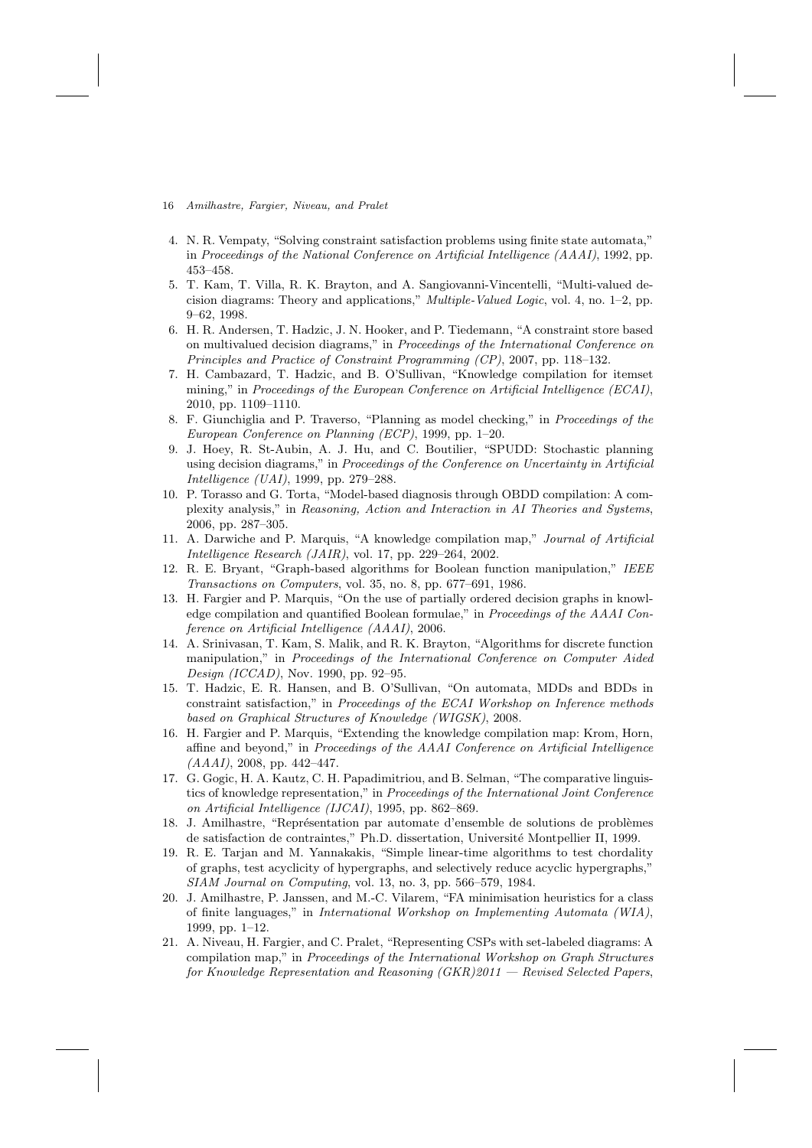- 4. N. R. Vempaty, "Solving constraint satisfaction problems using finite state automata," in Proceedings of the National Conference on Artificial Intelligence (AAAI), 1992, pp. 453–458.
- 5. T. Kam, T. Villa, R. K. Brayton, and A. Sangiovanni-Vincentelli, "Multi-valued decision diagrams: Theory and applications," Multiple-Valued Logic, vol. 4, no. 1–2, pp. 9–62, 1998.
- 6. H. R. Andersen, T. Hadzic, J. N. Hooker, and P. Tiedemann, "A constraint store based on multivalued decision diagrams," in Proceedings of the International Conference on Principles and Practice of Constraint Programming (CP), 2007, pp. 118–132.
- 7. H. Cambazard, T. Hadzic, and B. O'Sullivan, "Knowledge compilation for itemset mining," in Proceedings of the European Conference on Artificial Intelligence (ECAI), 2010, pp. 1109–1110.
- 8. F. Giunchiglia and P. Traverso, "Planning as model checking," in Proceedings of the European Conference on Planning (ECP), 1999, pp. 1–20.
- 9. J. Hoey, R. St-Aubin, A. J. Hu, and C. Boutilier, "SPUDD: Stochastic planning using decision diagrams," in Proceedings of the Conference on Uncertainty in Artificial Intelligence (UAI), 1999, pp. 279–288.
- 10. P. Torasso and G. Torta, "Model-based diagnosis through OBDD compilation: A complexity analysis," in Reasoning, Action and Interaction in AI Theories and Systems, 2006, pp. 287–305.
- 11. A. Darwiche and P. Marquis, "A knowledge compilation map," Journal of Artificial Intelligence Research (JAIR), vol. 17, pp. 229–264, 2002.
- 12. R. E. Bryant, "Graph-based algorithms for Boolean function manipulation," IEEE Transactions on Computers, vol. 35, no. 8, pp. 677–691, 1986.
- 13. H. Fargier and P. Marquis, "On the use of partially ordered decision graphs in knowledge compilation and quantified Boolean formulae," in Proceedings of the AAAI Conference on Artificial Intelligence (AAAI), 2006.
- 14. A. Srinivasan, T. Kam, S. Malik, and R. K. Brayton, "Algorithms for discrete function manipulation," in Proceedings of the International Conference on Computer Aided Design (ICCAD), Nov. 1990, pp. 92–95.
- 15. T. Hadzic, E. R. Hansen, and B. O'Sullivan, "On automata, MDDs and BDDs in constraint satisfaction," in Proceedings of the ECAI Workshop on Inference methods based on Graphical Structures of Knowledge (WIGSK), 2008.
- 16. H. Fargier and P. Marquis, "Extending the knowledge compilation map: Krom, Horn, affine and beyond," in Proceedings of the AAAI Conference on Artificial Intelligence  $(AAAI), 2008, pp. 442-447.$
- 17. G. Gogic, H. A. Kautz, C. H. Papadimitriou, and B. Selman, "The comparative linguistics of knowledge representation," in Proceedings of the International Joint Conference on Artificial Intelligence (IJCAI), 1995, pp. 862–869.
- 18. J. Amilhastre, "Représentation par automate d'ensemble de solutions de problèmes de satisfaction de contraintes," Ph.D. dissertation, Université Montpellier II, 1999.
- 19. R. E. Tarjan and M. Yannakakis, "Simple linear-time algorithms to test chordality of graphs, test acyclicity of hypergraphs, and selectively reduce acyclic hypergraphs," SIAM Journal on Computing, vol. 13, no. 3, pp. 566–579, 1984.
- 20. J. Amilhastre, P. Janssen, and M.-C. Vilarem, "FA minimisation heuristics for a class of finite languages," in International Workshop on Implementing Automata (WIA), 1999, pp. 1–12.
- 21. A. Niveau, H. Fargier, and C. Pralet, "Representing CSPs with set-labeled diagrams: A compilation map," in Proceedings of the International Workshop on Graph Structures for Knowledge Representation and Reasoning (GKR)2011 — Revised Selected Papers,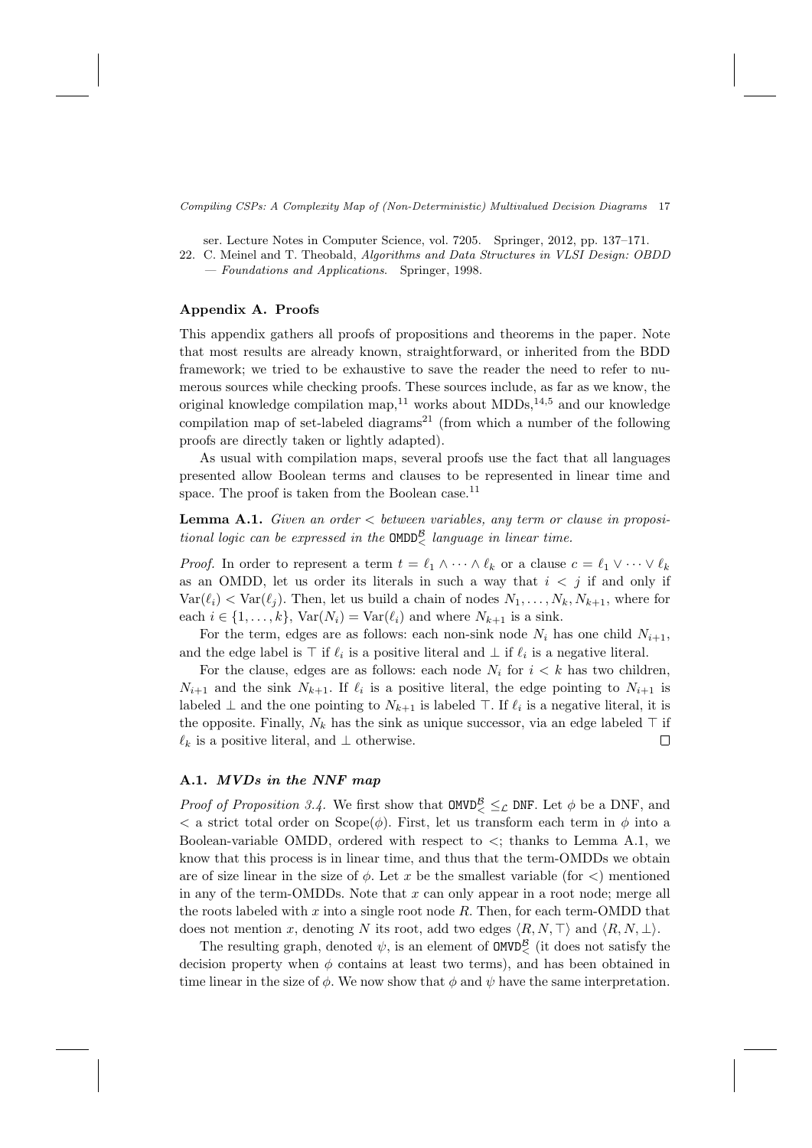ser. Lecture Notes in Computer Science, vol. 7205. Springer, 2012, pp. 137–171.

22. C. Meinel and T. Theobald, Algorithms and Data Structures in VLSI Design: OBDD — Foundations and Applications. Springer, 1998.

### Appendix A. Proofs

This appendix gathers all proofs of propositions and theorems in the paper. Note that most results are already known, straightforward, or inherited from the BDD framework; we tried to be exhaustive to save the reader the need to refer to numerous sources while checking proofs. These sources include, as far as we know, the original knowledge compilation map,  $11$  works about MDDs,  $14,5$  and our knowledge compilation map of set-labeled diagrams<sup>21</sup> (from which a number of the following proofs are directly taken or lightly adapted).

As usual with compilation maps, several proofs use the fact that all languages presented allow Boolean terms and clauses to be represented in linear time and space. The proof is taken from the Boolean case.<sup>11</sup>

**Lemma A.1.** Given an order  $\lt$  between variables, any term or clause in propositional logic can be expressed in the  $\texttt{OMDD}^{\mathcal{B}}_{\leq}$  language in linear time.

*Proof.* In order to represent a term  $t = \ell_1 \wedge \cdots \wedge \ell_k$  or a clause  $c = \ell_1 \vee \cdots \vee \ell_k$ as an OMDD, let us order its literals in such a way that  $i < j$  if and only if  $Var(\ell_i) < Var(\ell_j)$ . Then, let us build a chain of nodes  $N_1, \ldots, N_k, N_{k+1}$ , where for each  $i \in \{1, \ldots, k\}$ ,  $Var(N_i) = Var(\ell_i)$  and where  $N_{k+1}$  is a sink.

For the term, edges are as follows: each non-sink node  $N_i$  has one child  $N_{i+1}$ , and the edge label is  $\top$  if  $\ell_i$  is a positive literal and  $\bot$  if  $\ell_i$  is a negative literal.

For the clause, edges are as follows: each node  $N_i$  for  $i < k$  has two children,  $N_{i+1}$  and the sink  $N_{k+1}$ . If  $\ell_i$  is a positive literal, the edge pointing to  $N_{i+1}$  is labeled  $\perp$  and the one pointing to  $N_{k+1}$  is labeled  $\top$ . If  $\ell_i$  is a negative literal, it is the opposite. Finally,  $N_k$  has the sink as unique successor, via an edge labeled  $\top$  if  $\ell_k$  is a positive literal, and  $\bot$  otherwise.  $\ell_k$  is a positive literal, and ⊥ otherwise.

### A.1. MVDs in the NNF map

*Proof of Proposition 3.4.* We first show that  $OMVD^B_< \leq_{\mathcal{L}}$  DNF. Let  $\phi$  be a DNF, and  $\langle \rangle$  a strict total order on Scope( $\phi$ ). First, let us transform each term in  $\phi$  into a Boolean-variable OMDD, ordered with respect to  $\lt$ ; thanks to Lemma A.1, we know that this process is in linear time, and thus that the term-OMDDs we obtain are of size linear in the size of  $\phi$ . Let x be the smallest variable (for  $\lt$ ) mentioned in any of the term-OMDDs. Note that  $x$  can only appear in a root node; merge all the roots labeled with  $x$  into a single root node  $R$ . Then, for each term-OMDD that does not mention x, denoting N its root, add two edges  $\langle R, N, \top \rangle$  and  $\langle R, N, \bot \rangle$ .

The resulting graph, denoted  $\psi$ , is an element of  $\text{OMVD}_{\leq}^{\mathcal{B}}$  (it does not satisfy the decision property when  $\phi$  contains at least two terms), and has been obtained in time linear in the size of  $\phi$ . We now show that  $\phi$  and  $\psi$  have the same interpretation.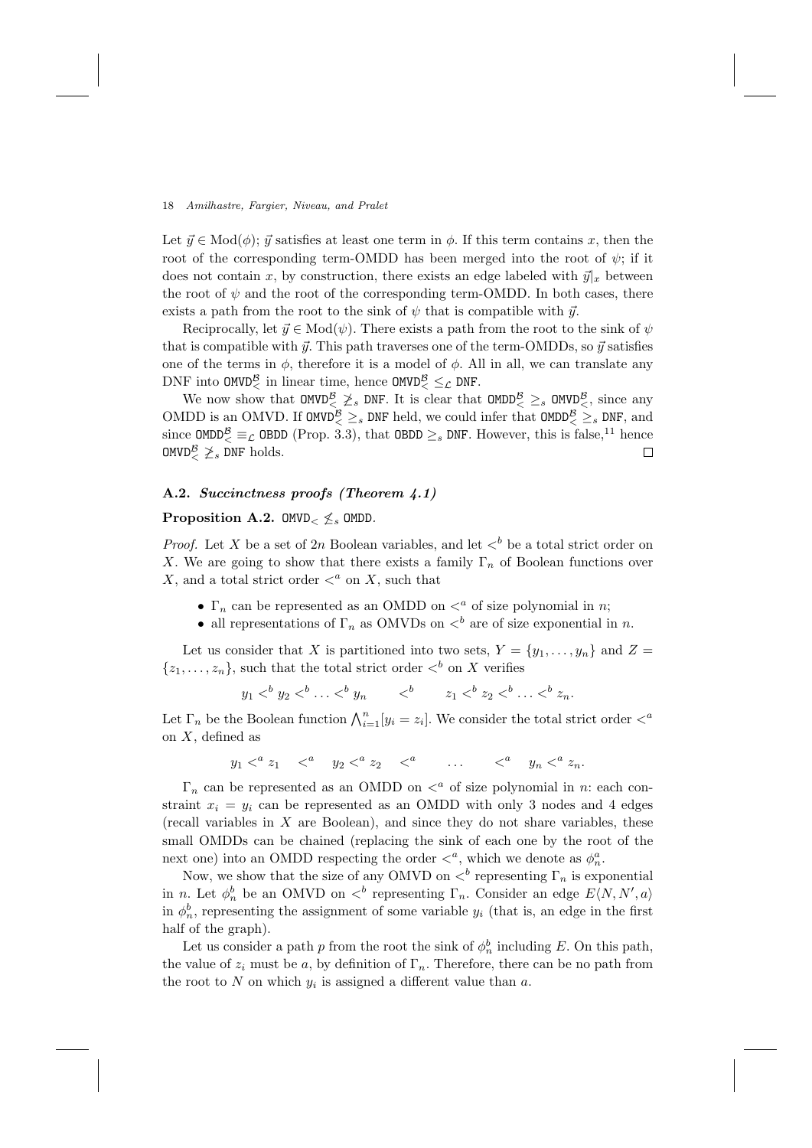Let  $\vec{y} \in Mod(\phi)$ ;  $\vec{y}$  satisfies at least one term in  $\phi$ . If this term contains x, then the root of the corresponding term-OMDD has been merged into the root of  $\psi$ ; if it does not contain x, by construction, there exists an edge labeled with  $\vec{y}|_x$  between the root of  $\psi$  and the root of the corresponding term-OMDD. In both cases, there exists a path from the root to the sink of  $\psi$  that is compatible with  $\vec{y}$ .

Reciprocally, let  $\vec{y} \in Mod(\psi)$ . There exists a path from the root to the sink of  $\psi$ that is compatible with  $\vec{y}$ . This path traverses one of the term-OMDDs, so  $\vec{y}$  satisfies one of the terms in  $\phi$ , therefore it is a model of  $\phi$ . All in all, we can translate any DNF into  $\mathsf{OMVD}_{\leq}^{\mathcal{B}}$  in linear time, hence  $\mathsf{OMVD}_{\leq}^{\mathcal{B}} \leq_{\mathcal{L}} \mathsf{DNF}$ .

We now show that  $OMVD_{\leq x}^{\mathcal{B}} \geq s$  DNF. It is clear that  $OMDD_{\leq x}^{\mathcal{B}} \geq s$   $OMVD_{\leq y}^{\mathcal{B}}$ , since any OMDD is an OMVD. If **OMVD**<sup>B</sup> $\geq s$  DNF held, we could infer that **OMDD**<sup>B</sup> $\geq s$  DNF, and since  $\texttt{OMDD}^{\mathcal{B}}_{\leq \mathcal{E}}$  OBDD (Prop. 3.3), that OBDD  $\geq_s$  DNF. However, this is false,<sup>11</sup> hence OMVD $^{\mathcal{B}}_{\leq \mathcal{Z}_s}$  DNF holds.

### A.2. Succinctness proofs (Theorem 4.1)

# Proposition A.2.  $OMVD < \leq_s$  OMDD.

*Proof.* Let X be a set of 2n Boolean variables, and let  $\lt^b$  be a total strict order on X. We are going to show that there exists a family  $\Gamma_n$  of Boolean functions over X, and a total strict order  $\lt^a$  on X, such that

- $\Gamma_n$  can be represented as an OMDD on  $\lt^n$  of size polynomial in n;
- all representations of  $\Gamma_n$  as OMVDs on  $\lt^b$  are of size exponential in n.

Let us consider that X is partitioned into two sets,  $Y = \{y_1, \ldots, y_n\}$  and  $Z =$  $\{z_1, \ldots, z_n\}$ , such that the total strict order  $\lt^b$  on X verifies

$$
y_1 <^b y_2 <^b \ldots <^b y_n
$$
  $<^b z_1 <^b z_2 <^b \ldots <^b z_n$ .

Let  $\Gamma_n$  be the Boolean function  $\bigwedge_{i=1}^n [y_i = z_i]$ . We consider the total strict order  $\langle a \rangle$ on  $X$ , defined as

$$
y_1 <^a z_1 <^a y_2 <^a z_2 <^a \dots <^a y_n <^a z_n.
$$

 $\Gamma_n$  can be represented as an OMDD on  $\lt^a$  of size polynomial in n: each constraint  $x_i = y_i$  can be represented as an OMDD with only 3 nodes and 4 edges (recall variables in  $X$  are Boolean), and since they do not share variables, these small OMDDs can be chained (replacing the sink of each one by the root of the next one) into an OMDD respecting the order  $\langle a, \text{ which we denote as } \phi_n^a$ .

Now, we show that the size of any OMVD on  $\lt^b$  representing  $\Gamma_n$  is exponential in n. Let  $\phi_n^b$  be an OMVD on  $\lt^b$  representing  $\Gamma_n$ . Consider an edge  $E\langle N, N', a \rangle$ in  $\phi_n^b$ , representing the assignment of some variable  $y_i$  (that is, an edge in the first half of the graph).

Let us consider a path  $p$  from the root the sink of  $\phi_n^b$  including E. On this path, the value of  $z_i$  must be a, by definition of  $\Gamma_n$ . Therefore, there can be no path from the root to N on which  $y_i$  is assigned a different value than a.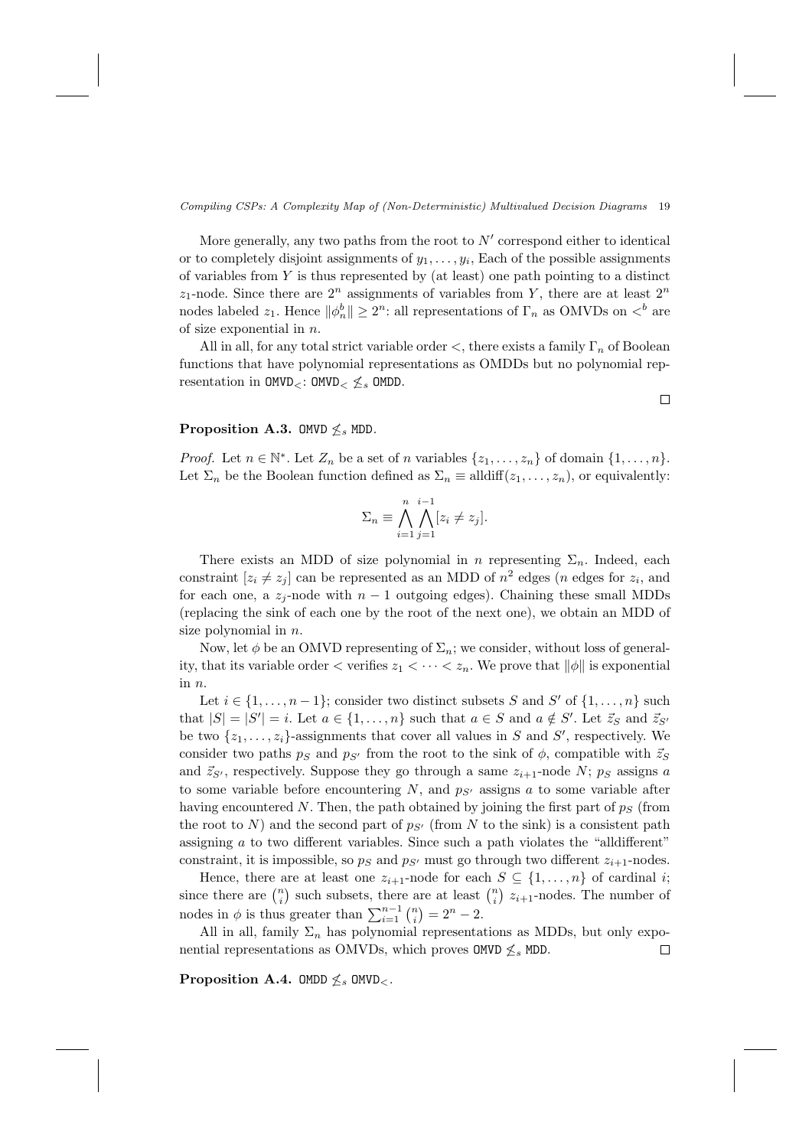More generally, any two paths from the root to  $N'$  correspond either to identical or to completely disjoint assignments of  $y_1, \ldots, y_i$ , Each of the possible assignments of variables from  $Y$  is thus represented by (at least) one path pointing to a distinct  $z_1$ -node. Since there are  $2^n$  assignments of variables from Y, there are at least  $2^n$ nodes labeled  $z_1$ . Hence  $\|\phi_n^b\| \geq 2^n$ : all representations of  $\Gamma_n$  as OMVDs on  $\langle \cdot \rangle$  are of size exponential in  $n$ .

All in all, for any total strict variable order  $\lt$ , there exists a family  $\Gamma_n$  of Boolean functions that have polynomial representations as OMDDs but no polynomial representation in  $OMVD_{\leq}$ :  $OMVD_{\leq} \nleq_{s}$  OMDD.

### Proposition A.3. OMVD  $\leq_s$  MDD.

*Proof.* Let  $n \in \mathbb{N}^*$ . Let  $Z_n$  be a set of n variables  $\{z_1, \ldots, z_n\}$  of domain  $\{1, \ldots, n\}$ . Let  $\Sigma_n$  be the Boolean function defined as  $\Sigma_n \equiv \text{alldiff}(z_1, \ldots, z_n)$ , or equivalently:

$$
\Sigma_n \equiv \bigwedge_{i=1}^n \bigwedge_{j=1}^{i-1} [z_i \neq z_j].
$$

There exists an MDD of size polynomial in n representing  $\Sigma_n$ . Indeed, each constraint  $[z_i \neq z_j]$  can be represented as an MDD of  $n^2$  edges (*n* edges for  $z_i$ , and for each one, a  $z_i$ -node with  $n-1$  outgoing edges). Chaining these small MDDs (replacing the sink of each one by the root of the next one), we obtain an MDD of size polynomial in n.

Now, let  $\phi$  be an OMVD representing of  $\Sigma_n$ ; we consider, without loss of generality, that its variable order  $\lt$  verifies  $z_1 \lt \cdots \lt z_n$ . We prove that  $\|\phi\|$  is exponential in n.

Let  $i \in \{1, \ldots, n-1\}$ ; consider two distinct subsets S and S' of  $\{1, \ldots, n\}$  such that  $|S| = |S'| = i$ . Let  $a \in \{1, ..., n\}$  such that  $a \in S$  and  $a \notin S'$ . Let  $\vec{z}_S$  and  $\vec{z}_{S'}$ be two  $\{z_1, \ldots, z_i\}$ -assignments that cover all values in S and S', respectively. We consider two paths  $p_S$  and  $p_{S'}$  from the root to the sink of  $\phi$ , compatible with  $\vec{z}_S$ and  $\vec{z}_{S}$ , respectively. Suppose they go through a same  $z_{i+1}$ -node N;  $p_S$  assigns a to some variable before encountering N, and  $p_{S'}$  assigns a to some variable after having encountered N. Then, the path obtained by joining the first part of  $p<sub>S</sub>$  (from the root to N) and the second part of  $p_{S'}$  (from N to the sink) is a consistent path assigning a to two different variables. Since such a path violates the "alldifferent" constraint, it is impossible, so  $p_S$  and  $p_{S'}$  must go through two different  $z_{i+1}$ -nodes.

Hence, there are at least one  $z_{i+1}$ -node for each  $S \subseteq \{1, \ldots, n\}$  of cardinal *i*; since there are  $\binom{n}{i}$  such subsets, there are at least  $\binom{n}{i}$   $z_{i+1}$ -nodes. The number of nodes in  $\phi$  is thus greater than  $\sum_{i=1}^{n-1} {n \choose i} = 2^n - 2$ .

All in all, family  $\Sigma_n$  has polynomial representations as MDDs, but only exponential representations as OMVDs, which proves  $OMVD \nleq_s MDD$ .  $\Box$ 

Proposition A.4. OMDD  $\leq_s$  OMVD $\leq_s$ .

 $\Box$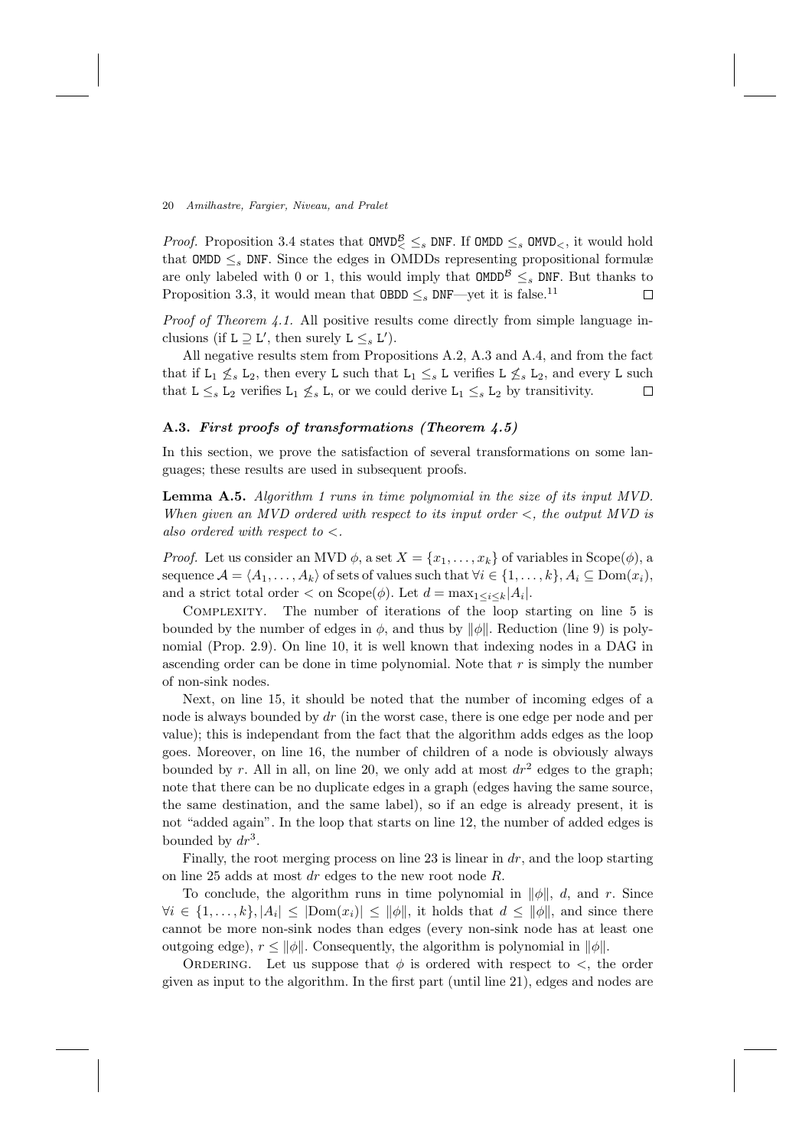*Proof.* Proposition 3.4 states that  $OMVD^B_< \leq_s DNF$ . If  $OMDD \leq_s OMVD_<$ , it would hold that  $OMDD \leq_s$  DNF. Since the edges in OMDDs representing propositional formulæ are only labeled with 0 or 1, this would imply that  $OMDD^B \leq_s DNF$ . But thanks to Proposition 3.3, it would mean that OBDD  $\leq_s DNF$ —vet it is false.<sup>11</sup> Proposition 3.3, it would mean that  $\texttt{OBDD} \leq_s \texttt{DNF}$  yet it is false.<sup>11</sup>

*Proof of Theorem 4.1.* All positive results come directly from simple language inclusions (if  $L \supseteq L'$ , then surely  $L \leq_s L'$ ).

All negative results stem from Propositions A.2, A.3 and A.4, and from the fact that if  $L_1 \nleq_s L_2$ , then every L such that  $L_1 \nleq_s L$  verifies  $L \nleq_s L_2$ , and every L such that  $L \nleq_s L_2$  verifies  $L_1 \nleq_s L_1$ , or we could derive  $L_1 \nleq_s L_2$  by transitivity. that  $L \leq_s L_2$  verifies  $L_1 \nleq_s L$ , or we could derive  $L_1 \leq_s L_2$  by transitivity.

### A.3. First proofs of transformations (Theorem 4.5)

In this section, we prove the satisfaction of several transformations on some languages; these results are used in subsequent proofs.

Lemma A.5. Algorithm 1 runs in time polynomial in the size of its input MVD. When given an MVD ordered with respect to its input order  $\lt$ , the output MVD is also ordered with respect to  $\lt$ .

*Proof.* Let us consider an MVD  $\phi$ , a set  $X = \{x_1, \ldots, x_k\}$  of variables in Scope $(\phi)$ , a sequence  $\mathcal{A} = \langle A_1, \ldots, A_k \rangle$  of sets of values such that  $\forall i \in \{1, \ldots, k\}, A_i \subseteq \text{Dom}(x_i)$ . and a strict total order  $\langle$  on Scope $(\phi)$ . Let  $d = \max_{1 \leq i \leq k} |A_i|$ .

Complexity. The number of iterations of the loop starting on line 5 is bounded by the number of edges in  $\phi$ , and thus by  $\|\phi\|$ . Reduction (line 9) is polynomial (Prop. 2.9). On line 10, it is well known that indexing nodes in a DAG in ascending order can be done in time polynomial. Note that  $r$  is simply the number of non-sink nodes.

Next, on line 15, it should be noted that the number of incoming edges of a node is always bounded by dr (in the worst case, there is one edge per node and per value); this is independant from the fact that the algorithm adds edges as the loop goes. Moreover, on line 16, the number of children of a node is obviously always bounded by r. All in all, on line 20, we only add at most  $dr^2$  edges to the graph; note that there can be no duplicate edges in a graph (edges having the same source, the same destination, and the same label), so if an edge is already present, it is not "added again". In the loop that starts on line 12, the number of added edges is bounded by  $dr^3$ .

Finally, the root merging process on line 23 is linear in  $dr$ , and the loop starting on line 25 adds at most dr edges to the new root node R.

To conclude, the algorithm runs in time polynomial in  $\|\phi\|$ , d, and r. Since  $\forall i \in \{1, ..., k\}, |A_i| \leq |\text{Dom}(x_i)| \leq ||\phi||$ , it holds that  $d \leq ||\phi||$ , and since there cannot be more non-sink nodes than edges (every non-sink node has at least one outgoing edge),  $r \le ||\phi||$ . Consequently, the algorithm is polynomial in  $||\phi||$ .

ORDERING. Let us suppose that  $\phi$  is ordered with respect to  $\lt$ , the order given as input to the algorithm. In the first part (until line 21), edges and nodes are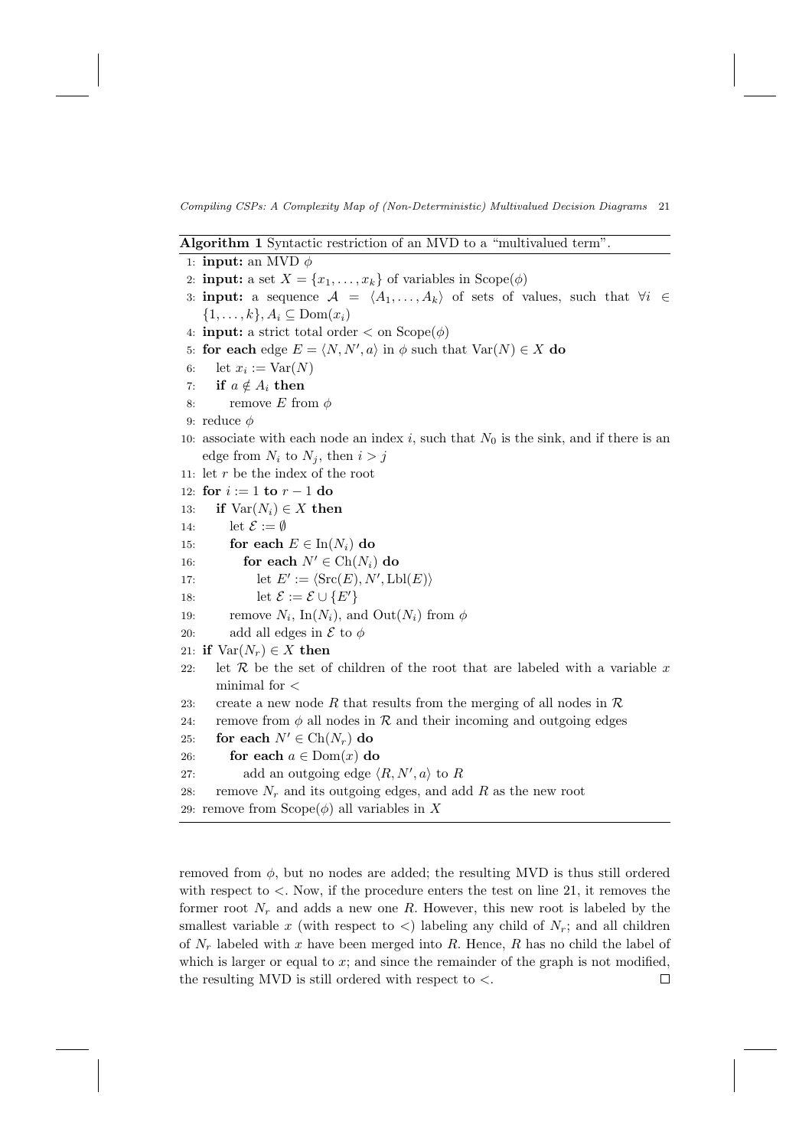#### Algorithm 1 Syntactic restriction of an MVD to a "multivalued term".

1: **input:** an MVD  $\phi$ 

- 2: **input:** a set  $X = \{x_1, \ldots, x_k\}$  of variables in  $\text{Scope}(\phi)$
- 3: **input:** a sequence  $A = \langle A_1, \ldots, A_k \rangle$  of sets of values, such that  $\forall i \in \mathbb{R}$  $\{1,\ldots,k\}, A_i \subseteq \text{Dom}(x_i)$
- 4: **input:** a strict total order  $\langle$  on  $\text{Scope}(\phi)$
- 5: for each edge  $E = \langle N, N', a \rangle$  in  $\phi$  such that  $Var(N) \in X$  do
- 6: let  $x_i := \text{Var}(N)$
- 7: if  $a \notin A_i$  then
- 8: remove E from  $\phi$
- 9: reduce  $\phi$
- 10: associate with each node an index  $i$ , such that  $N_0$  is the sink, and if there is an edge from  $N_i$  to  $N_j$ , then  $i > j$
- 11: let r be the index of the root
- 12: for  $i := 1$  to  $r 1$  do
- 13: **if**  $\text{Var}(N_i) \in X$  then<br>14: **let**  $\mathcal{E} := \emptyset$
- let  $\mathcal{E} := \emptyset$
- 15: **for each**  $E \in \text{In}(N_i)$  **do**<br>16: **for each**  $N' \in \text{Ch}(N_i)$
- for each  $N' \in Ch(N_i)$  do
- 17: let  $E' := \langle \text{Src}(E), N', \text{Lbl}(E) \rangle$
- 18: let  $\mathcal{E} := \mathcal{E} \cup \{E'\}$
- 19: remove  $N_i$ , In $(N_i)$ , and Out $(N_i)$  from  $\phi$
- 20: add all edges in  $\mathcal E$  to  $\phi$

```
21: if Var(N_r) \in X then
```
- 22: let  $\mathcal R$  be the set of children of the root that are labeled with a variable x minimal for  $<$
- 23: create a new node R that results from the merging of all nodes in  $\mathcal R$
- 24: remove from  $\phi$  all nodes in  $\mathcal R$  and their incoming and outgoing edges
- 
- 25: for each  $N' \in \text{Ch}(N_r)$  do<br>26: for each  $a \in \text{Dom}(x)$  do 26: **for each**  $a \in Dom(x)$  do 27. add an outgoing edge (20)
- 27: add an outgoing edge  $\langle R, N', a \rangle$  to R
- 28: remove  $N_r$  and its outgoing edges, and add R as the new root
- 29: remove from  $Scope(\phi)$  all variables in X

removed from  $\phi$ , but no nodes are added; the resulting MVD is thus still ordered with respect to  $\lt$ . Now, if the procedure enters the test on line 21, it removes the former root  $N_r$  and adds a new one R. However, this new root is labeled by the smallest variable x (with respect to  $\langle$ ) labeling any child of  $N_r$ ; and all children of  $N_r$  labeled with x have been merged into R. Hence, R has no child the label of which is larger or equal to  $x$ ; and since the remainder of the graph is not modified, the resulting MVD is still ordered with respect to  $\lt$ .  $\Box$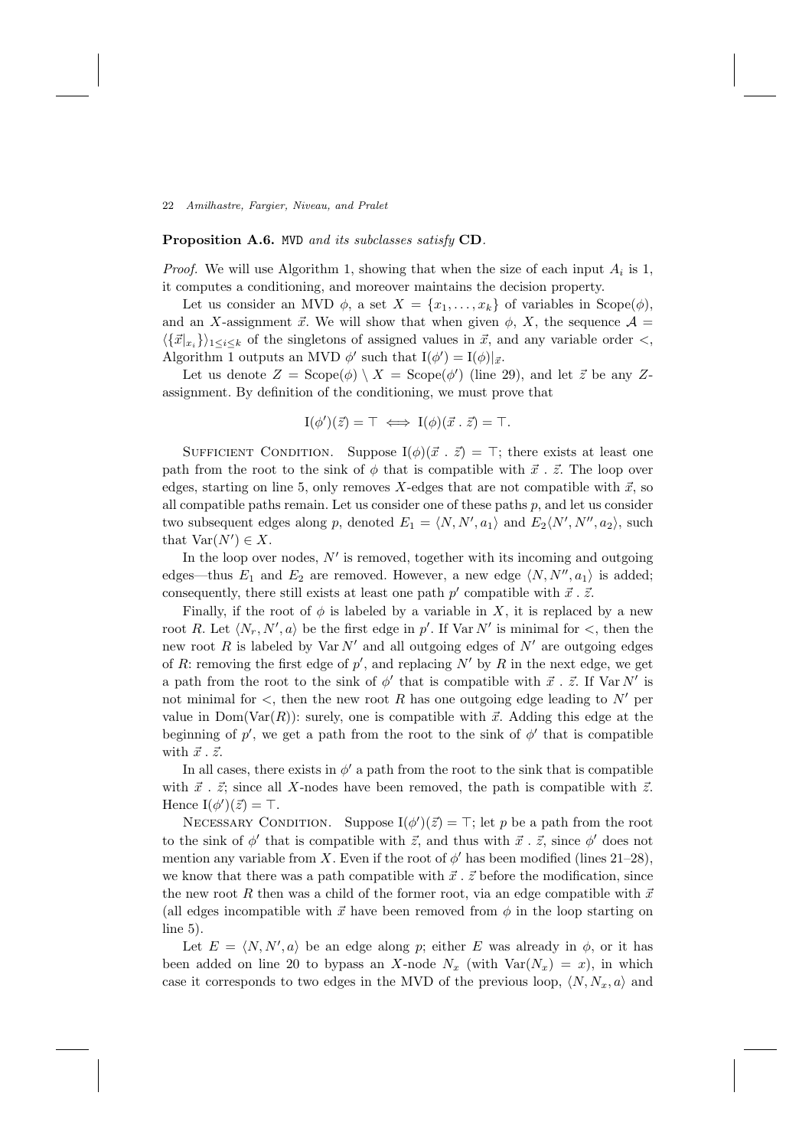#### Proposition A.6. MVD and its subclasses satisfy CD.

*Proof.* We will use Algorithm 1, showing that when the size of each input  $A_i$  is 1, it computes a conditioning, and moreover maintains the decision property.

Let us consider an MVD  $\phi$ , a set  $X = \{x_1, \ldots, x_k\}$  of variables in Scope $(\phi)$ , and an X-assignment  $\vec{x}$ . We will show that when given  $\phi$ , X, the sequence  $\mathcal{A} =$  $\langle \{\vec{x}|_{x_i}\}\rangle_{1\leq i\leq k}$  of the singletons of assigned values in  $\vec{x}$ , and any variable order  $\leq$ , Algorithm 1 outputs an MVD  $\phi'$  such that  $I(\phi') = I(\phi)|_{\vec{x}}$ .

Let us denote  $Z = \text{Scope}(\phi) \setminus X = \text{Scope}(\phi')$  (line 29), and let  $\vec{z}$  be any Zassignment. By definition of the conditioning, we must prove that

$$
I(\phi')(\vec{z}) = \top \iff I(\phi)(\vec{x} \cdot \vec{z}) = \top.
$$

SUFFICIENT CONDITION. Suppose  $I(\phi)(\vec{x} \cdot \vec{z}) = \top$ ; there exists at least one path from the root to the sink of  $\phi$  that is compatible with  $\vec{x}$ .  $\vec{z}$ . The loop over edges, starting on line 5, only removes X-edges that are not compatible with  $\vec{x}$ , so all compatible paths remain. Let us consider one of these paths  $p$ , and let us consider two subsequent edges along p, denoted  $E_1 = \langle N, N', a_1 \rangle$  and  $E_2 \langle N', N'', a_2 \rangle$ , such that  $\text{Var}(N') \in X$ .

In the loop over nodes,  $N'$  is removed, together with its incoming and outgoing edges—thus  $E_1$  and  $E_2$  are removed. However, a new edge  $\langle N, N'', a_1 \rangle$  is added; consequently, there still exists at least one path  $p'$  compatible with  $\vec{x} \cdot \vec{z}$ .

Finally, if the root of  $\phi$  is labeled by a variable in X, it is replaced by a new root R. Let  $\langle N_r, N', a \rangle$  be the first edge in p'. If  $\text{Var } N'$  is minimal for  $\lt$ , then the new root R is labeled by Var N' and all outgoing edges of N' are outgoing edges of R: removing the first edge of  $p'$ , and replacing  $N'$  by R in the next edge, we get a path from the root to the sink of  $\phi'$  that is compatible with  $\vec{x}$ .  $\vec{z}$ . If Var N' is not minimal for  $\lt$ , then the new root R has one outgoing edge leading to N' per value in  $Dom(Var(R))$ : surely, one is compatible with  $\vec{x}$ . Adding this edge at the beginning of  $p'$ , we get a path from the root to the sink of  $\phi'$  that is compatible with  $\vec{x} \cdot \vec{z}$ .

In all cases, there exists in  $\phi'$  a path from the root to the sink that is compatible with  $\vec{x}$ .  $\vec{z}$ ; since all X-nodes have been removed, the path is compatible with  $\vec{z}$ . Hence  $I(\phi')(\vec{z}) = \top$ .

NECESSARY CONDITION. Suppose  $I(\phi')(\vec{z}) = \top$ ; let p be a path from the root to the sink of  $\phi'$  that is compatible with  $\vec{z}$ , and thus with  $\vec{x}$ .  $\vec{z}$ , since  $\phi'$  does not mention any variable from X. Even if the root of  $\phi'$  has been modified (lines 21-28), we know that there was a path compatible with  $\vec{x} \cdot \vec{z}$  before the modification, since the new root R then was a child of the former root, via an edge compatible with  $\vec{x}$ (all edges incompatible with  $\vec{x}$  have been removed from  $\phi$  in the loop starting on line 5).

Let  $E = \langle N, N', a \rangle$  be an edge along p; either E was already in  $\phi$ , or it has been added on line 20 to bypass an X-node  $N_x$  (with  $Var(N_x) = x$ ), in which case it corresponds to two edges in the MVD of the previous loop,  $\langle N, N_x, a \rangle$  and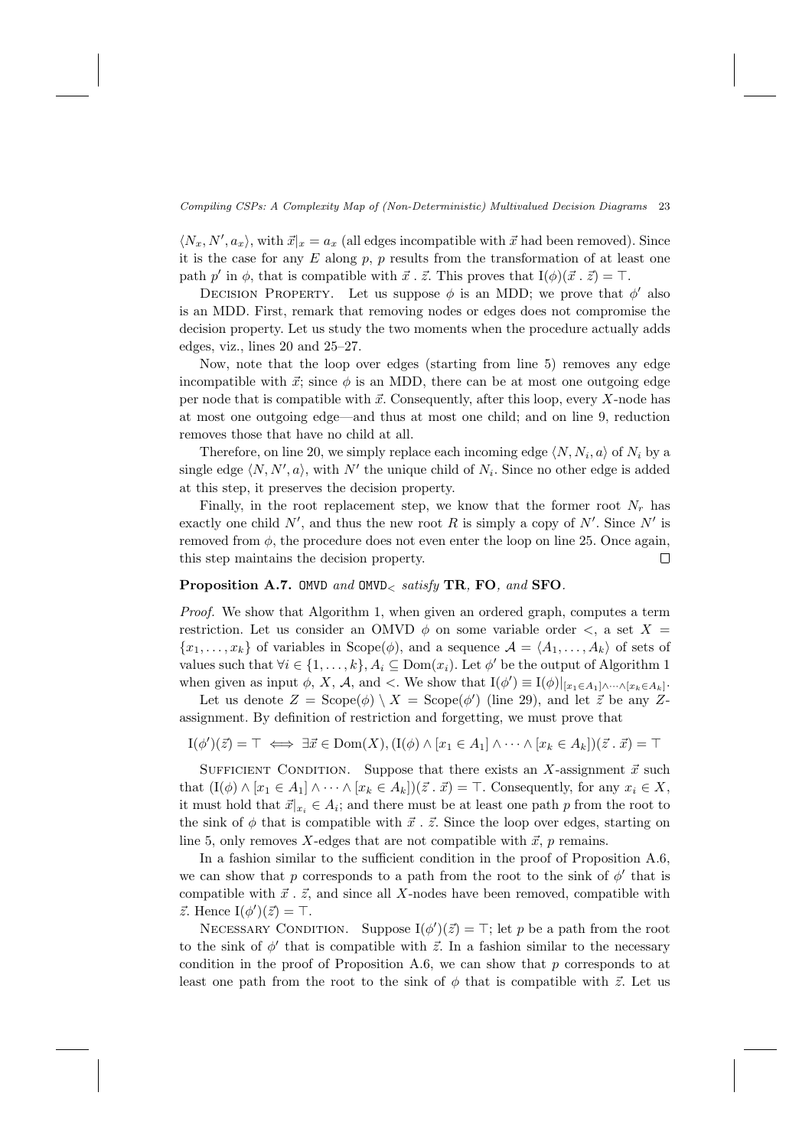$\langle N_x, N', a_x \rangle$ , with  $\vec{x}|_x = a_x$  (all edges incompatible with  $\vec{x}$  had been removed). Since it is the case for any  $E$  along  $p$ ,  $p$  results from the transformation of at least one path  $p'$  in  $\phi$ , that is compatible with  $\vec{x} \cdot \vec{z}$ . This proves that  $I(\phi)(\vec{x} \cdot \vec{z}) = \top$ .

DECISION PROPERTY. Let us suppose  $\phi$  is an MDD; we prove that  $\phi'$  also is an MDD. First, remark that removing nodes or edges does not compromise the decision property. Let us study the two moments when the procedure actually adds edges, viz., lines 20 and 25–27.

Now, note that the loop over edges (starting from line 5) removes any edge incompatible with  $\vec{x}$ ; since  $\phi$  is an MDD, there can be at most one outgoing edge per node that is compatible with  $\vec{x}$ . Consequently, after this loop, every X-node has at most one outgoing edge—and thus at most one child; and on line 9, reduction removes those that have no child at all.

Therefore, on line 20, we simply replace each incoming edge  $\langle N, N_i, a \rangle$  of  $N_i$  by a single edge  $\langle N, N', a \rangle$ , with N' the unique child of  $N_i$ . Since no other edge is added at this step, it preserves the decision property.

Finally, in the root replacement step, we know that the former root  $N_r$  has exactly one child N', and thus the new root R is simply a copy of N'. Since N' is removed from  $\phi$ , the procedure does not even enter the loop on line 25. Once again, this step maintains the decision property.  $\Box$ 

### Proposition A.7. OMVD and OMVD<sub><</sub> satisfy TR, FO, and SFO.

Proof. We show that Algorithm 1, when given an ordered graph, computes a term restriction. Let us consider an OMVD  $\phi$  on some variable order  $\lt$ , a set  $X =$  ${x_1, \ldots, x_k}$  of variables in Scope( $\phi$ ), and a sequence  $\mathcal{A} = \langle A_1, \ldots, A_k \rangle$  of sets of values such that  $\forall i \in \{1, ..., k\}, A_i \subseteq \text{Dom}(x_i)$ . Let  $\phi'$  be the output of Algorithm 1 when given as input  $\phi$ , X, A, and <. We show that  $I(\phi') \equiv I(\phi)|_{[x_1 \in A_1] \wedge \cdots \wedge [x_k \in A_k]}$ .

Let us denote  $Z = \text{Scope}(\phi) \setminus X = \text{Scope}(\phi')$  (line 29), and let  $\vec{z}$  be any  $Z$ assignment. By definition of restriction and forgetting, we must prove that

$$
I(\phi')(\vec{z}) = \top \iff \exists \vec{x} \in \text{Dom}(X), (I(\phi) \land [x_1 \in A_1] \land \dots \land [x_k \in A_k])(\vec{z} \cdot \vec{x}) = \top
$$

SUFFICIENT CONDITION. Suppose that there exists an X-assignment  $\vec{x}$  such that  $(I(\phi) \wedge [x_1 \in A_1] \wedge \cdots \wedge [x_k \in A_k])(\vec{z} \cdot \vec{x}) = \top$ . Consequently, for any  $x_i \in X$ , it must hold that  $\vec{x}|_{x_i} \in A_i$ ; and there must be at least one path p from the root to the sink of  $\phi$  that is compatible with  $\vec{x} \cdot \vec{z}$ . Since the loop over edges, starting on line 5, only removes X-edges that are not compatible with  $\vec{x}$ , p remains.

In a fashion similar to the sufficient condition in the proof of Proposition A.6, we can show that p corresponds to a path from the root to the sink of  $\phi'$  that is compatible with  $\vec{x} \cdot \vec{z}$ , and since all X-nodes have been removed, compatible with  $\vec{z}$ . Hence  $I(\phi')(\vec{z}) = \top$ .

NECESSARY CONDITION. Suppose  $I(\phi')(\vec{z}) = \top$ ; let p be a path from the root to the sink of  $\phi'$  that is compatible with  $\vec{z}$ . In a fashion similar to the necessary condition in the proof of Proposition A.6, we can show that p corresponds to at least one path from the root to the sink of  $\phi$  that is compatible with  $\vec{z}$ . Let us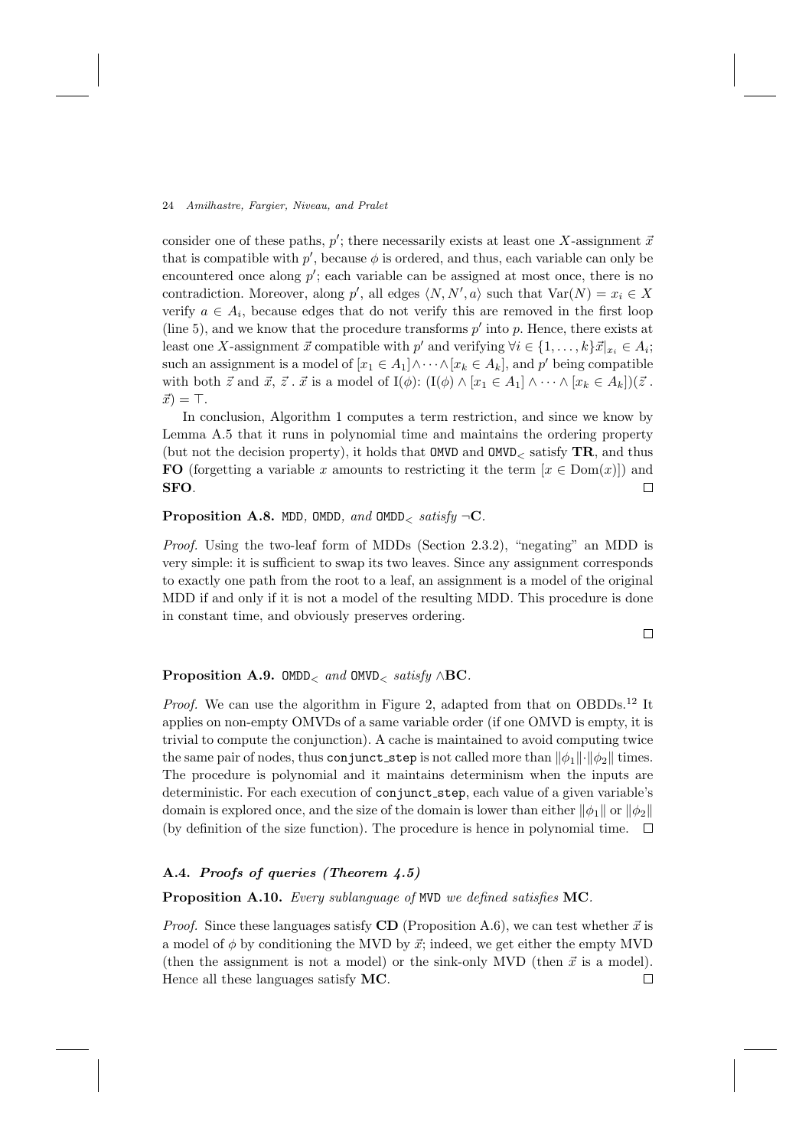consider one of these paths,  $p'$ ; there necessarily exists at least one X-assignment  $\vec{x}$ that is compatible with  $p'$ , because  $\phi$  is ordered, and thus, each variable can only be encountered once along  $p'$ ; each variable can be assigned at most once, there is no contradiction. Moreover, along p', all edges  $\langle N, N', a \rangle$  such that  $Var(N) = x_i \in X$ verify  $a \in A_i$ , because edges that do not verify this are removed in the first loop (line 5), and we know that the procedure transforms  $p'$  into  $p$ . Hence, there exists at least one X-assignment  $\vec{x}$  compatible with  $p'$  and verifying  $\forall i \in \{1, ..., k\}$ ,  $\vec{x}|_{x_i} \in A_i$ ; such an assignment is a model of  $[x_1 \in A_1] \wedge \cdots \wedge [x_k \in A_k]$ , and  $p'$  being compatible with both  $\vec{z}$  and  $\vec{x}, \vec{z} \cdot \vec{x}$  is a model of I( $\phi$ ):  $(I(\phi) \wedge [x_1 \in A_1] \wedge \cdots \wedge [x_k \in A_k])(\vec{z}$ .  $\vec{x}$ ) = T.

In conclusion, Algorithm 1 computes a term restriction, and since we know by Lemma A.5 that it runs in polynomial time and maintains the ordering property (but not the decision property), it holds that  $OMVD$  and  $OMVD<sub>lt</sub>$  satisfy  $TR$ , and thus **FO** (forgetting a variable x amounts to restricting it the term  $[x \in Dom(x)]$ ) and **SFO**. □ SFO.

### Proposition A.8. MDD, OMDD, and OMDD<sub><</sub> satisfy  $\neg C$ .

Proof. Using the two-leaf form of MDDs (Section 2.3.2), "negating" an MDD is very simple: it is sufficient to swap its two leaves. Since any assignment corresponds to exactly one path from the root to a leaf, an assignment is a model of the original MDD if and only if it is not a model of the resulting MDD. This procedure is done in constant time, and obviously preserves ordering.

 $\Box$ 

### Proposition A.9. OMDD<sub><</sub> and OMVD<sub><</sub> satisfy  $\wedge$ BC.

*Proof.* We can use the algorithm in Figure 2, adapted from that on OBDDs.<sup>12</sup> It applies on non-empty OMVDs of a same variable order (if one OMVD is empty, it is trivial to compute the conjunction). A cache is maintained to avoid computing twice the same pair of nodes, thus conjunct step is not called more than  $\|\phi_1\| \cdot \|\phi_2\|$  times. The procedure is polynomial and it maintains determinism when the inputs are deterministic. For each execution of conjunct step, each value of a given variable's domain is explored once, and the size of the domain is lower than either  $\|\phi_1\|$  or  $\|\phi_2\|$ (by definition of the size function). The procedure is hence in polynomial time.  $\Box$ 

# A.4. Proofs of queries (Theorem 4.5)

Proposition A.10. Every sublanguage of MVD we defined satisfies MC.

*Proof.* Since these languages satisfy CD (Proposition A.6), we can test whether  $\vec{x}$  is a model of  $\phi$  by conditioning the MVD by  $\vec{x}$ ; indeed, we get either the empty MVD (then the assignment is not a model) or the sink-only MVD (then  $\vec{x}$  is a model). Hence all these languages satisfy MC. $\Box$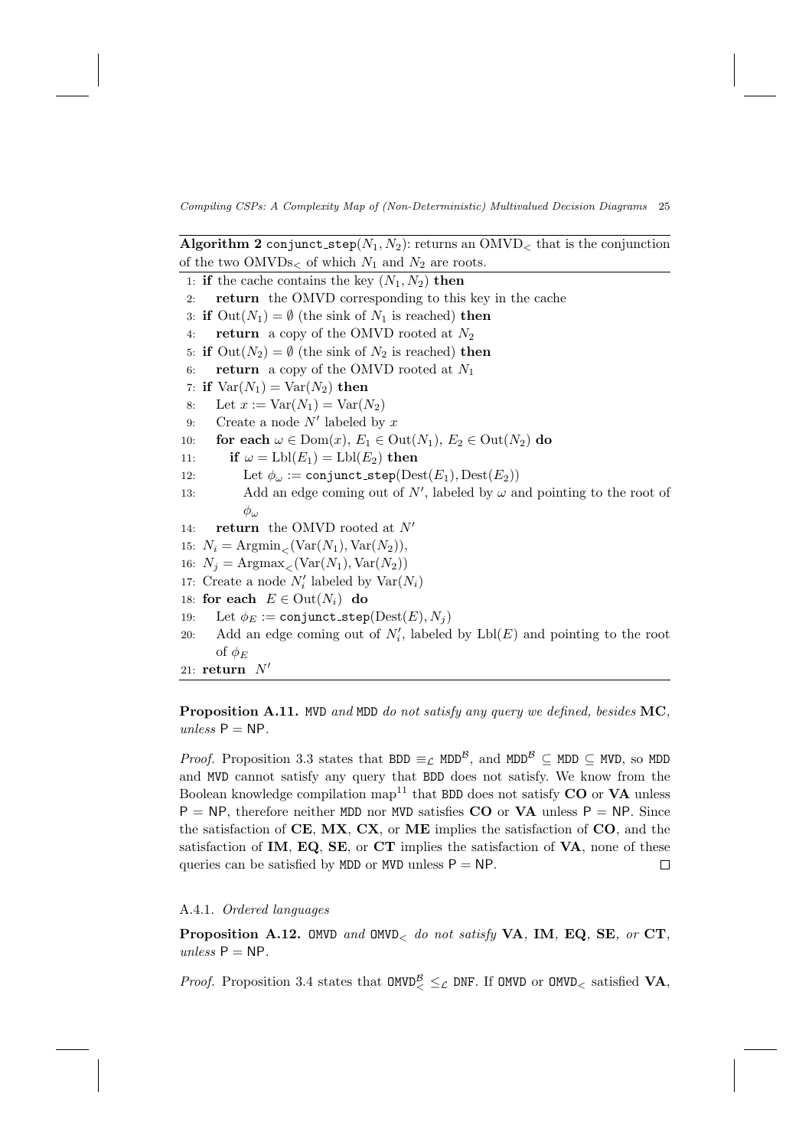Algorithm 2 conjunct\_step( $N_1, N_2$ ): returns an OMVD<sub><br/>c</sub> that is the conjunction of the two  $\text{OMVDs}_{\leq}$  of which  $N_1$  and  $N_2$  are roots.

1: if the cache contains the key  $(N_1, N_2)$  then 2: return the OMVD corresponding to this key in the cache 3: if  $Out(N_1) = \emptyset$  (the sink of  $N_1$  is reached) then 4: **return** a copy of the OMVD rooted at  $N_2$ 5: if  $Out(N_2) = \emptyset$  (the sink of  $N_2$  is reached) then 6: **return** a copy of the OMVD rooted at  $N_1$ 7: if  $Var(N_1) = Var(N_2)$  then 8: Let  $x := \text{Var}(N_1) = \text{Var}(N_2)$ 9: Create a node  $N'$  labeled by x 10: for each  $\omega \in \text{Dom}(x)$ ,  $E_1 \in \text{Out}(N_1)$ ,  $E_2 \in \text{Out}(N_2)$  do 11: if  $\omega = \text{Lbl}(E_1) = \text{Lbl}(E_2)$  then 12: Let  $\phi_\omega := \text{conjunct\_step}(\text{Dest}(E_1), \text{Dest}(E_2))$ 13: Add an edge coming out of  $N'$ , labeled by  $\omega$  and pointing to the root of  $\phi_\omega$ 14: **return** the OMVD rooted at  $N'$ 15:  $N_i = \text{Argmin}_{\geq}(Var(N_1), Var(N_2)),$ 16:  $N_i = \text{Argmax}_\leq (Var(N_1), Var(N_2))$ 17: Create a node  $N_i'$  labeled by  $Var(N_i)$ 18: for each  $E \in \text{Out}(N_i)$  do<br>19: Let  $\phi_E := \text{conjunct-step}$ Let  $\phi_E := \text{conjunct\_step}(\text{Dest}(E), N_i)$ 20: Add an edge coming out of  $N_i'$ , labeled by  $Lbl(E)$  and pointing to the root of  $\phi_E$ 

21:  $return N'$ 

Proposition A.11. MVD and MDD do not satisfy any query we defined, besides MC, unless  $P = NP$ .

*Proof.* Proposition 3.3 states that BDD  $\equiv_{\mathcal{L}} \text{MDD}^B$ , and MDD<sup>B</sup>  $\subseteq$  MDD  $\subseteq$  MVD, so MDD and MVD cannot satisfy any query that BDD does not satisfy. We know from the Boolean knowledge compilation map<sup>11</sup> that BDD does not satisfy  $CO$  or VA unless  $P = NP$ , therefore neither MDD nor MVD satisfies CO or VA unless  $P = NP$ . Since the satisfaction of  $CE$ ,  $MX$ ,  $CX$ , or  $ME$  implies the satisfaction of  $CO$ , and the satisfaction of IM, EQ, SE, or CT implies the satisfaction of VA, none of these queries can be satisfied by MDD or MVD unless  $P = NP$ .  $\Box$ 

#### A.4.1. Ordered languages

**Proposition A.12.** OMVD and OMVD<sub><c</sub> do not satisfy **VA**, **IM**, **EQ**, **SE**, or **CT**, unless  $P = NP$ .

*Proof.* Proposition 3.4 states that  $OMVD^{\mathcal{B}}_{\leq \mathcal{L}}$  DNF. If OMVD or OMVD<sub> $\leq$ </sub> satisfied **VA**,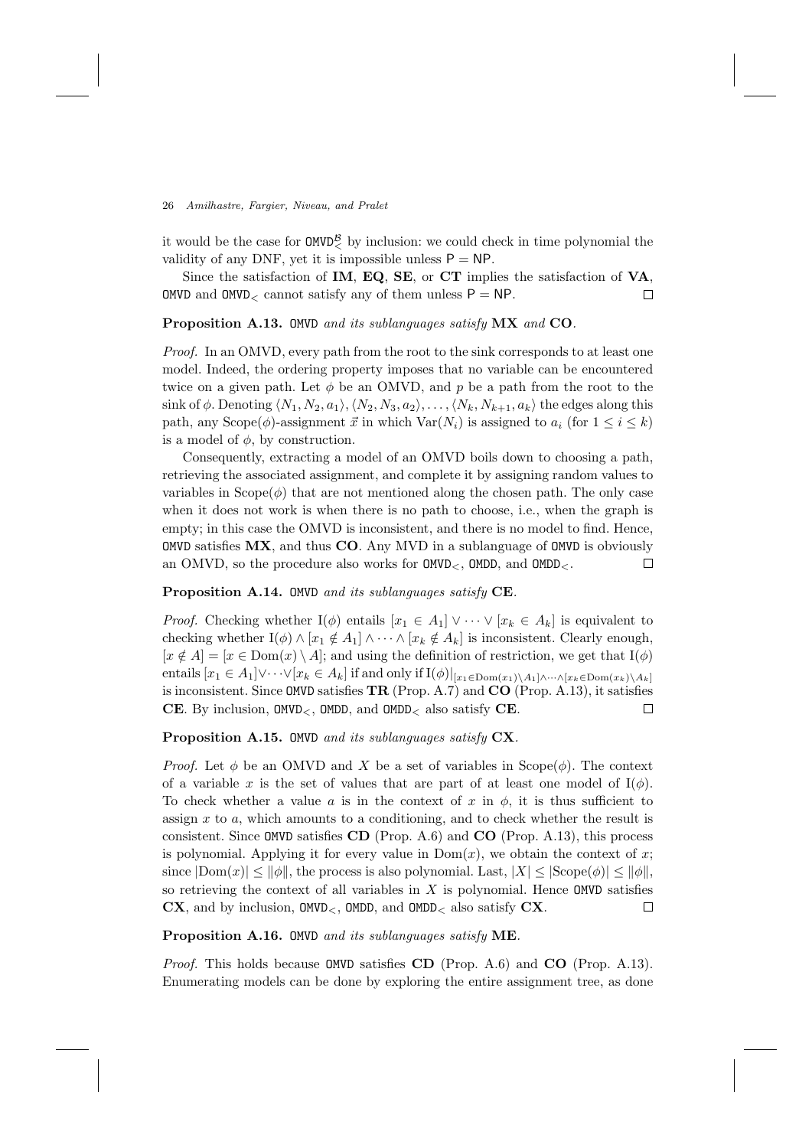it would be the case for  $OMVD^{\mathcal{B}}_{\leq}$  by inclusion: we could check in time polynomial the validity of any DNF, yet it is impossible unless  $P = NP$ .

Since the satisfaction of IM, EQ, SE, or CT implies the satisfaction of VA, OMVD and OMVD<sub><</sub> cannot satisfy any of them unless  $P = NP$ .  $\Box$ 

Proposition A.13. OMVD and its sublanguages satisfy MX and CO.

Proof. In an OMVD, every path from the root to the sink corresponds to at least one model. Indeed, the ordering property imposes that no variable can be encountered twice on a given path. Let  $\phi$  be an OMVD, and p be a path from the root to the sink of  $\phi$ . Denoting  $\langle N_1, N_2, a_1 \rangle$ ,  $\langle N_2, N_3, a_2 \rangle$ , ...,  $\langle N_k, N_{k+1}, a_k \rangle$  the edges along this path, any Scope( $\phi$ )-assignment  $\vec{x}$  in which Var( $N_i$ ) is assigned to  $a_i$  (for  $1 \leq i \leq k$ ) is a model of  $\phi$ , by construction.

Consequently, extracting a model of an OMVD boils down to choosing a path, retrieving the associated assignment, and complete it by assigning random values to variables in  $Scope(\phi)$  that are not mentioned along the chosen path. The only case when it does not work is when there is no path to choose, i.e., when the graph is empty; in this case the OMVD is inconsistent, and there is no model to find. Hence,  $OMVD$  satisfies  $MX$ , and thus  $CO$ . Any MVD in a sublanguage of  $OMVD$  is obviously an OMVD, so the procedure also works for  $OMVD_{\leq}$ ,  $OMDD$ , and  $OMDD_{\leq}$ .  $\Box$ 

### Proposition A.14. OMVD and its sublanguages satisfy CE.

*Proof.* Checking whether I( $\phi$ ) entails  $[x_1 \in A_1] \vee \cdots \vee [x_k \in A_k]$  is equivalent to checking whether  $I(\phi) \wedge [x_1 \notin A_1] \wedge \cdots \wedge [x_k \notin A_k]$  is inconsistent. Clearly enough,  $[x \notin A] = [x \in Dom(x) \setminus A];$  and using the definition of restriction, we get that  $I(\phi)$ entails  $[x_1 \in A_1] \vee \cdots \vee [x_k \in A_k]$  if and only if  $I(\phi)|_{[x_1 \in \text{Dom}(x_1) \setminus A_1] \wedge \cdots \wedge [x_k \in \text{Dom}(x_k) \setminus A_k]}$ is inconsistent. Since OMVD satisfies TR (Prop. A.7) and CO (Prop. A.13), it satisfies CE. By inclusion,  $OMVD_{\leq}$ ,  $OMDD$ , and  $OMDD_{\leq}$  also satisfy CE. □

Proposition A.15. OMVD and its sublanguages satisfy CX.

*Proof.* Let  $\phi$  be an OMVD and X be a set of variables in Scope( $\phi$ ). The context of a variable x is the set of values that are part of at least one model of  $I(\phi)$ . To check whether a value a is in the context of x in  $\phi$ , it is thus sufficient to assign  $x$  to  $a$ , which amounts to a conditioning, and to check whether the result is consistent. Since  $\text{OMVD}$  satisfies  $\text{CD}$  (Prop. A.6) and  $\text{CO}$  (Prop. A.13), this process is polynomial. Applying it for every value in  $Dom(x)$ , we obtain the context of x; since  $|{\rm Dom}(x)| \leq ||\phi||$ , the process is also polynomial. Last,  $|X| \leq |{\rm Stope}(\phi)| \leq ||\phi||$ , so retrieving the context of all variables in  $X$  is polynomial. Hence **OMVD** satisfies  $\mathbf{CX}$ , and by inclusion,  $\mathsf{OMVD}_{\leq}$ ,  $\mathsf{OMDD}$ , and  $\mathsf{OMDD}_{\leq}$  also satisfy  $\mathbf{CX}$ .  $\Box$ 

Proposition A.16. OMVD and its sublanguages satisfy ME.

*Proof.* This holds because OMVD satisfies  $CD$  (Prop. A.6) and  $CO$  (Prop. A.13). Enumerating models can be done by exploring the entire assignment tree, as done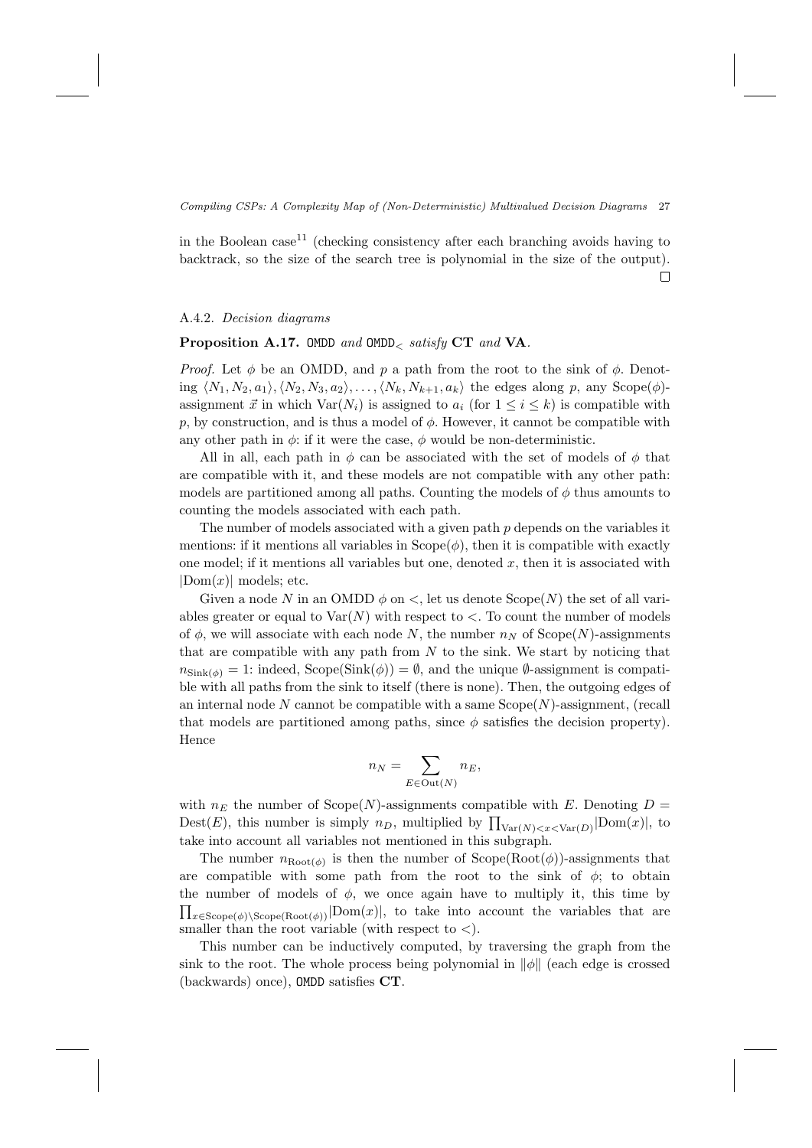in the Boolean case<sup>11</sup> (checking consistency after each branching avoids having to backtrack, so the size of the search tree is polynomial in the size of the output).  $\Box$ 

### A.4.2. Decision diagrams

### Proposition A.17. OMDD and OMDD<sub><</sub> satisfy CT and VA.

*Proof.* Let  $\phi$  be an OMDD, and p a path from the root to the sink of  $\phi$ . Denoting  $\langle N_1, N_2, a_1 \rangle, \langle N_2, N_3, a_2 \rangle, \ldots, \langle N_k, N_{k+1}, a_k \rangle$  the edges along p, any Scope( $\phi$ )assignment  $\vec{x}$  in which  $\text{Var}(N_i)$  is assigned to  $a_i$  (for  $1 \leq i \leq k$ ) is compatible with  $p$ , by construction, and is thus a model of  $\phi$ . However, it cannot be compatible with any other path in  $\phi$ : if it were the case,  $\phi$  would be non-deterministic.

All in all, each path in  $\phi$  can be associated with the set of models of  $\phi$  that are compatible with it, and these models are not compatible with any other path: models are partitioned among all paths. Counting the models of  $\phi$  thus amounts to counting the models associated with each path.

The number of models associated with a given path  $p$  depends on the variables it mentions: if it mentions all variables in  $Scope(\phi)$ , then it is compatible with exactly one model; if it mentions all variables but one, denoted  $x$ , then it is associated with  $|Dom(x)|$  models; etc.

Given a node N in an OMDD  $\phi$  on  $\lt$ , let us denote  $\text{Scope}(N)$  the set of all variables greater or equal to  $\text{Var}(N)$  with respect to  $\lt$ . To count the number of models of  $\phi$ , we will associate with each node N, the number  $n<sub>N</sub>$  of Scope(N)-assignments that are compatible with any path from  $N$  to the sink. We start by noticing that  $n_{\text{Sink}(\phi)} = 1$ : indeed, Scope(Sink( $\phi$ )) =  $\emptyset$ , and the unique  $\emptyset$ -assignment is compatible with all paths from the sink to itself (there is none). Then, the outgoing edges of an internal node N cannot be compatible with a same  $Scope(N)$ -assignment, (recall that models are partitioned among paths, since  $\phi$  satisfies the decision property). Hence

$$
n_N = \sum_{E \in \text{Out}(N)} n_E,
$$

with  $n_E$  the number of Scope(N)-assignments compatible with E. Denoting  $D =$ Dest(E), this number is simply  $n_D$ , multiplied by  $\prod_{\text{Var}(N) < x < \text{Var}(D)} | \text{Dom}(x) |$ , to take into account all variables not mentioned in this subgraph.

The number  $n_{Root(\phi)}$  is then the number of  $Scope(Root(\phi))$ -assignments that are compatible with some path from the root to the sink of  $\phi$ ; to obtain the number of models of  $\phi$ , we once again have to multiply it, this time by  $\prod_{x \in \text{Scope}(\phi) \setminus \text{Scope}(Root(\phi))} |{\text{Dom}(x)}|$ , to take into account the variables that are smaller than the root variable (with respect to  $\langle \cdot \rangle$ ).

This number can be inductively computed, by traversing the graph from the sink to the root. The whole process being polynomial in  $\|\phi\|$  (each edge is crossed (backwards) once), OMDD satisfies CT.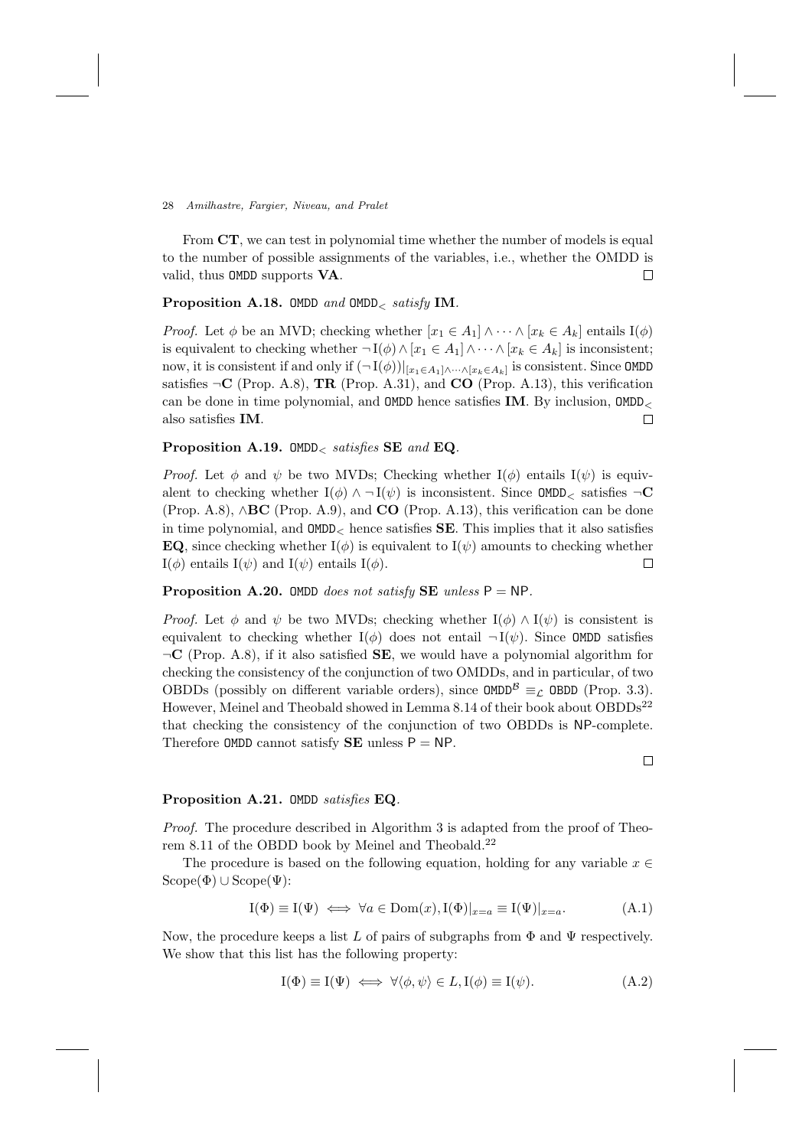From  $CT$ , we can test in polynomial time whether the number of models is equal to the number of possible assignments of the variables, i.e., whether the OMDD is valid, thus OMDD supports VA.  $\Box$ 

Proposition A.18. OMDD and OMDD<sub><</sub> satisfy IM.

*Proof.* Let  $\phi$  be an MVD; checking whether  $[x_1 \in A_1] \wedge \cdots \wedge [x_k \in A_k]$  entails I $(\phi)$ is equivalent to checking whether  $\neg I(\phi) \wedge [x_1 \in A_1] \wedge \cdots \wedge [x_k \in A_k]$  is inconsistent; now, it is consistent if and only if  $(\neg \mathrm{I}(\phi))|_{[x_1 \in A_1] \land \cdots \land [x_k \in A_k]}$  is consistent. Since OMDD satisfies  $\neg \mathbf{C}$  (Prop. A.8), **TR** (Prop. A.31), and **CO** (Prop. A.13), this verification can be done in time polynomial, and OMDD hence satisfies IM. By inclusion, OMDD<sup>&</sup>lt;  $\Box$ also satisfies IM.

### Proposition A.19. OMDD<sub><</sub> satisfies SE and EQ.

*Proof.* Let  $\phi$  and  $\psi$  be two MVDs; Checking whether I( $\phi$ ) entails I( $\psi$ ) is equivalent to checking whether  $I(\phi) \wedge \neg I(\psi)$  is inconsistent. Since OMDD<sub><</sub> satisfies  $\neg \mathbf{C}$ (Prop. A.8),  $\triangle$ BC (Prop. A.9), and CO (Prop. A.13), this verification can be done in time polynomial, and  $\text{OMDD}_{\leq}$  hence satisfies **SE**. This implies that it also satisfies **EQ**, since checking whether  $I(\phi)$  is equivalent to  $I(\psi)$  amounts to checking whether  $I(\phi)$  entails  $I(\psi)$  and  $I(\psi)$  entails  $I(\phi)$ .  $\Box$ 

# **Proposition A.20.** OMDD does not satisfy SE unless  $P = NP$ .

*Proof.* Let  $\phi$  and  $\psi$  be two MVDs; checking whether I( $\phi$ )  $\wedge$  I( $\psi$ ) is consistent is equivalent to checking whether I( $\phi$ ) does not entail  $\neg$ I( $\psi$ ). Since OMDD satisfies  $\neg$ C (Prop. A.8), if it also satisfied **SE**, we would have a polynomial algorithm for checking the consistency of the conjunction of two OMDDs, and in particular, of two OBDDs (possibly on different variable orders), since  $\texttt{OMDD}^B \equiv_{\mathcal{L}} \texttt{OBDD}$  (Prop. 3.3). However, Meinel and Theobald showed in Lemma 8.14 of their book about OBDDs<sup>22</sup> that checking the consistency of the conjunction of two OBDDs is NP-complete. Therefore OMDD cannot satisfy  $SE$  unless  $P = NP$ .

 $\Box$ 

#### Proposition A.21. OMDD satisfies EQ.

Proof. The procedure described in Algorithm 3 is adapted from the proof of Theorem 8.11 of the OBDD book by Meinel and Theobald.<sup>22</sup>

The procedure is based on the following equation, holding for any variable  $x \in$  $\text{Scope}(\Phi) \cup \text{Scope}(\Psi)$ :

$$
I(\Phi) \equiv I(\Psi) \iff \forall a \in \text{Dom}(x), I(\Phi)|_{x=a} \equiv I(\Psi)|_{x=a}.
$$
 (A.1)

Now, the procedure keeps a list L of pairs of subgraphs from  $\Phi$  and  $\Psi$  respectively. We show that this list has the following property:

$$
I(\Phi) \equiv I(\Psi) \iff \forall \langle \phi, \psi \rangle \in L, I(\phi) \equiv I(\psi). \tag{A.2}
$$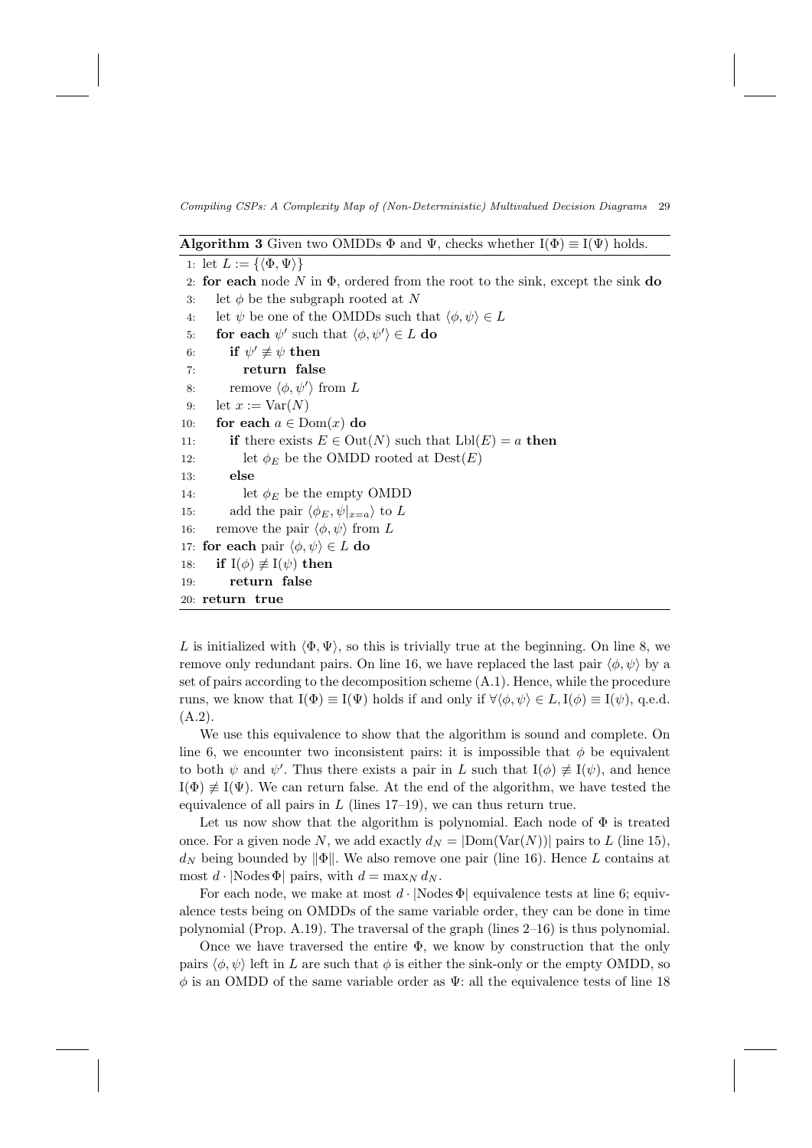**Algorithm 3** Given two OMDDs  $\Phi$  and  $\Psi$ , checks whether I( $\Phi$ )  $\equiv$  I( $\Psi$ ) holds.

1: let  $L := {\langle \langle \Phi, \Psi \rangle \rangle}$ 2: for each node  $N$  in  $\Phi$ , ordered from the root to the sink, except the sink do 3: let  $\phi$  be the subgraph rooted at N 4: let  $\psi$  be one of the OMDDs such that  $\langle \phi, \psi \rangle \in L$ 5: **for each**  $\psi'$  such that  $\langle \phi, \psi' \rangle \in L$  **do** 6: if  $\psi' \not\equiv \psi$  then 7: return false 8: remove  $\langle \phi, \psi' \rangle$  from L 9: let  $x := \text{Var}(N)$ 10: **for each**  $a \in \text{Dom}(x)$  **do**<br>11: **if** there exists  $E \in \text{Out}$ 11: **if** there exists  $E \in Out(N)$  such that  $Lbl(E) = a$  **then**<br>12: let  $\phi_E$  be the OMDD rooted at  $Dest(E)$ let  $\phi_E$  be the OMDD rooted at  $\text{Dest}(E)$ 13: else 14: let  $\phi_E$  be the empty OMDD 15: add the pair  $\langle \phi_E, \psi |_{x=a} \rangle$  to L 16: remove the pair  $\langle \phi, \psi \rangle$  from L 17: for each pair  $\langle \phi, \psi \rangle \in L$  do 18: **if** I( $\phi$ )  $\neq$  I( $\psi$ ) then 19: return false 20: return true

L is initialized with  $\langle \Phi, \Psi \rangle$ , so this is trivially true at the beginning. On line 8, we remove only redundant pairs. On line 16, we have replaced the last pair  $\langle \phi, \psi \rangle$  by a set of pairs according to the decomposition scheme (A.1). Hence, while the procedure runs, we know that  $I(\Phi) \equiv I(\Psi)$  holds if and only if  $\forall \langle \phi, \psi \rangle \in L$ ,  $I(\phi) \equiv I(\psi)$ , q.e.d.  $(A.2).$ 

We use this equivalence to show that the algorithm is sound and complete. On line 6, we encounter two inconsistent pairs: it is impossible that  $\phi$  be equivalent to both  $\psi$  and  $\psi'$ . Thus there exists a pair in L such that  $I(\phi) \not\equiv I(\psi)$ , and hence  $I(\Phi) \not\equiv I(\Psi)$ . We can return false. At the end of the algorithm, we have tested the equivalence of all pairs in  $L$  (lines 17–19), we can thus return true.

Let us now show that the algorithm is polynomial. Each node of  $\Phi$  is treated once. For a given node N, we add exactly  $d_N = |Dom(Var(N))|$  pairs to L (line 15),  $d_N$  being bounded by  $\|\Phi\|$ . We also remove one pair (line 16). Hence L contains at most  $d \cdot |\text{Nodes } \Phi|$  pairs, with  $d = \max_N d_N$ .

For each node, we make at most  $d \cdot |\text{Nodes } \Phi|$  equivalence tests at line 6; equivalence tests being on OMDDs of the same variable order, they can be done in time polynomial (Prop. A.19). The traversal of the graph (lines 2–16) is thus polynomial.

Once we have traversed the entire  $\Phi$ , we know by construction that the only pairs  $\langle \phi, \psi \rangle$  left in L are such that  $\phi$  is either the sink-only or the empty OMDD, so  $\phi$  is an OMDD of the same variable order as  $\Psi$ : all the equivalence tests of line 18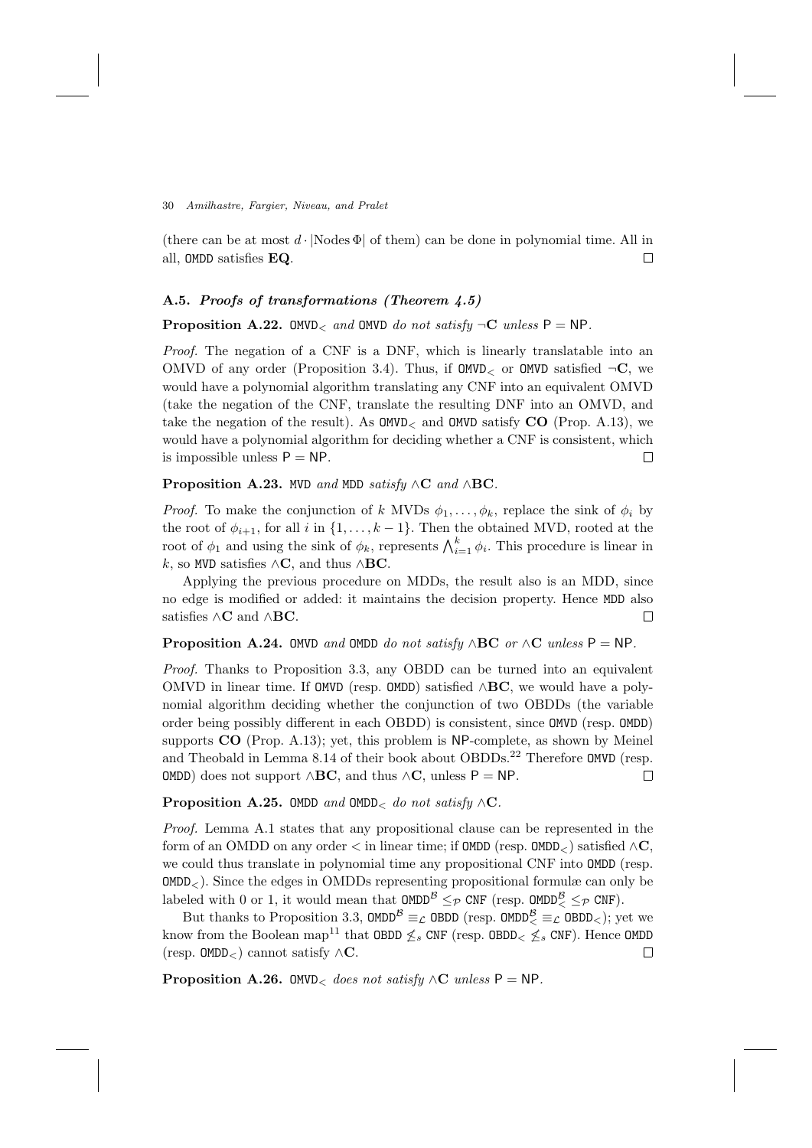(there can be at most  $d \cdot |\text{Nodes } \Phi|$  of them) can be done in polynomial time. All in all, OMDD satisfies **EQ**. all, OMDD satisfies EQ.

### A.5. Proofs of transformations (Theorem 4.5)

**Proposition A.22.** OMVD<sub><am</sub> OMVD do not satisfy  $\neg$ **C** unless P = NP.

Proof. The negation of a CNF is a DNF, which is linearly translatable into an OMVD of any order (Proposition 3.4). Thus, if  $OMVD<sub>></sub>$  or  $OMVD$  satisfied  $\neg C$ , we would have a polynomial algorithm translating any CNF into an equivalent OMVD (take the negation of the CNF, translate the resulting DNF into an OMVD, and take the negation of the result). As  $OMVD<sub>5</sub>$  and  $OMVD$  satisfy CO (Prop. A.13), we would have a polynomial algorithm for deciding whether a CNF is consistent, which is impossible unless  $P = NP$ .  $\Box$ 

# Proposition A.23. MVD and MDD satisfy  $\wedge$ C and  $\wedge$ BC.

*Proof.* To make the conjunction of k MVDs  $\phi_1, \ldots, \phi_k$ , replace the sink of  $\phi_i$  by the root of  $\phi_{i+1}$ , for all i in  $\{1, \ldots, k-1\}$ . Then the obtained MVD, rooted at the root of  $\phi_1$  and using the sink of  $\phi_k$ , represents  $\bigwedge_{i=1}^k \phi_i$ . This procedure is linear in k, so MVD satisfies  $\wedge \mathbf{C}$ , and thus  $\wedge \mathbf{BC}$ .

Applying the previous procedure on MDDs, the result also is an MDD, since no edge is modified or added: it maintains the decision property. Hence MDD also satisfies  $\wedge$ **C** and  $\wedge$ **BC**.  $\Box$ 

### **Proposition A.24.** OMVD and OMDD do not satisfy  $\wedge BC$  or  $\wedge C$  unless P = NP.

Proof. Thanks to Proposition 3.3, any OBDD can be turned into an equivalent OMVD in linear time. If OMVD (resp. OMDD) satisfied  $\wedge$ BC, we would have a polynomial algorithm deciding whether the conjunction of two OBDDs (the variable order being possibly different in each OBDD) is consistent, since OMVD (resp. OMDD) supports CO (Prop. A.13); yet, this problem is NP-complete, as shown by Meinel and Theobald in Lemma 8.14 of their book about OBDDs.<sup>22</sup> Therefore  $OMVD$  (resp. OMDD) does not support ∧BC, and thus ∧C, unless  $P = NP$ .  $\Box$ 

#### **Proposition A.25.** OMDD and OMDD<sub><</sub> do not satisfy  $\wedge$ **C**.

Proof. Lemma A.1 states that any propositional clause can be represented in the form of an OMDD on any order  $\lt$  in linear time; if OMDD (resp. OMDD<sub> $\lt$ </sub>) satisfied  $\land$ **C**, we could thus translate in polynomial time any propositional CNF into OMDD (resp.  $OMDD<sub>z</sub>$ ). Since the edges in OMDDs representing propositional formulæ can only be labeled with 0 or 1, it would mean that  $\text{OMDD}^{\mathcal{B}} \leq_{\mathcal{P}} \text{CNF}$  (resp.  $\text{OMDD}^{\mathcal{B}} \leq_{\mathcal{P}} \text{CNF}$ ).

But thanks to Proposition 3.3,  $\text{OMDD}^{\mathcal{B}} \equiv_{\mathcal{L}} \text{OBDD}$  (resp.  $\text{OMDD}^{\mathcal{B}} \equiv_{\mathcal{L}} \text{OBDD}_\leq$ ); yet we know from the Boolean map<sup>11</sup> that **OBDD**  $\leq$ <sub>s</sub> CNF (resp. **OBDD**<sub> $\leq$ </sub>  $\leq$ <sub>s</sub> CNF). Hence **OMDD** (resp. **OMDD**<sub> $\leq$ </sub>) cannot satisfy  $\wedge$ **C**. (resp. OMDD<sub><</sub>) cannot satisfy  $\wedge \mathbf{C}$ .

**Proposition A.26.** OMVD<sub><br/>c</sub> does not satisfy  $\wedge$ C unless P = NP.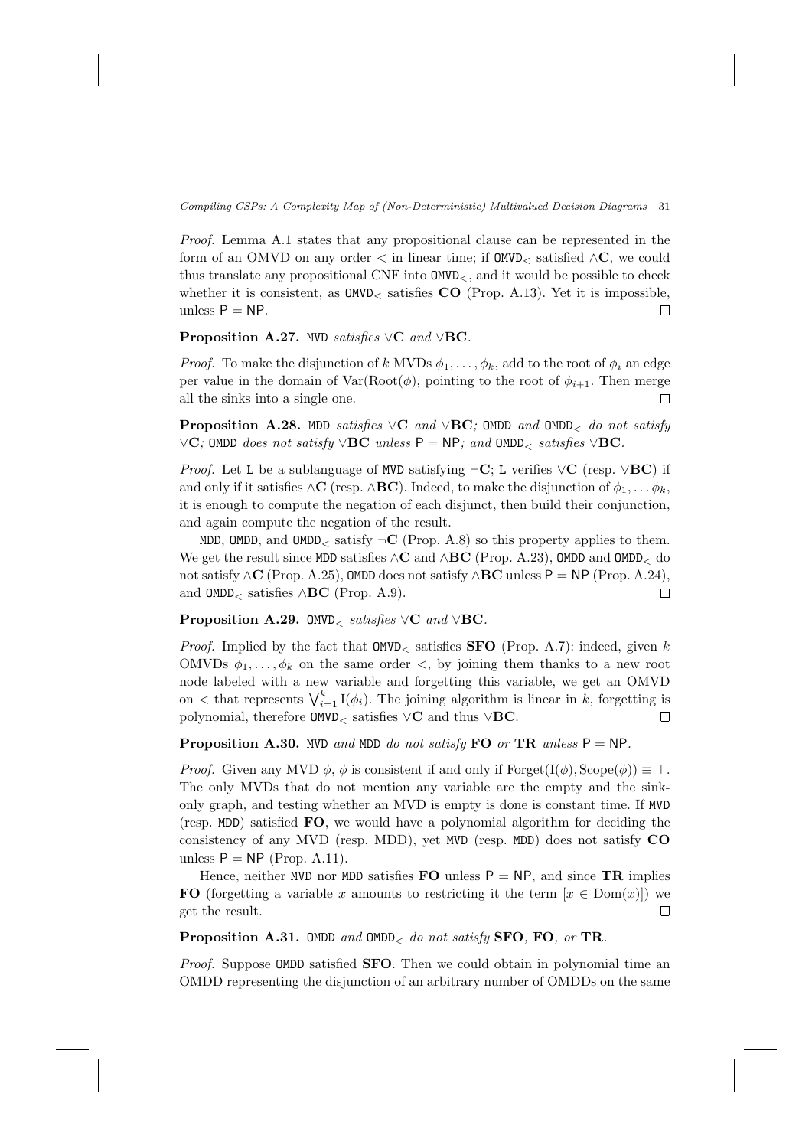Proof. Lemma A.1 states that any propositional clause can be represented in the form of an OMVD on any order  $\lt$  in linear time; if OMVD<sub> $\lt$ </sub> satisfied  $\land$ **C**, we could thus translate any propositional CNF into  $OMVD_{\leq}$ , and it would be possible to check whether it is consistent, as  $OMVD_{\leq}$  satisfies  $CO$  (Prop. A.13). Yet it is impossible, unless  $P = NP$ .  $\Box$ 

# Proposition A.27. MVD satisfies ∨C and ∨BC.

*Proof.* To make the disjunction of k MVDs  $\phi_1, \ldots, \phi_k$ , add to the root of  $\phi_i$  an edge per value in the domain of  $\text{Var}(\text{Root}(\phi), \text{ pointing to the root of } \phi_{i+1})$ . Then merge all the sinks into a single one.  $\Box$ 

**Proposition A.28.** MDD satisfies  $\vee$ **C** and  $\vee$ **BC**; **OMDD** and **OMDD**<sub><</sub> do not satisfy  $\vee$ C; OMDD does not satisfy  $\vee$ BC unless P = NP; and OMDD<sub><</sub> satisfies  $\vee$ BC.

*Proof.* Let L be a sublanguage of MVD satisfying  $\neg C$ ; L verifies  $\vee C$  (resp.  $\vee BC$ ) if and only if it satisfies  $\wedge \mathbf{C}$  (resp.  $\wedge \mathbf{BC}$ ). Indeed, to make the disjunction of  $\phi_1, \dots, \phi_k$ , it is enough to compute the negation of each disjunct, then build their conjunction, and again compute the negation of the result.

MDD, OMDD, and OMDD<sub> $\leq$ </sub> satisfy  $\neg$ **C** (Prop. A.8) so this property applies to them. We get the result since MDD satisfies  $\wedge \mathbf{C}$  and  $\wedge \mathbf{BC}$  (Prop. A.23), OMDD and OMDD<sub><</sub> do not satisfy ∧C (Prop. A.25), OMDD does not satisfy ∧BC unless P = NP (Prop. A.24), and OMDD satisfies ∧BC (Prop. A.9). and  $OMDD<sub>≤</sub>$  satisfies  $\wedge$ **BC** (Prop. A.9).

Proposition A.29. OMVD<sub><</sub> satisfies  $\vee$ **C** and  $\vee$ **BC**.

*Proof.* Implied by the fact that  $OMVD_{\leq}$  satisfies **SFO** (Prop. A.7): indeed, given k OMVDs  $\phi_1, \ldots, \phi_k$  on the same order  $\lt$ , by joining them thanks to a new root node labeled with a new variable and forgetting this variable, we get an OMVD on  $\lt$  that represents  $\bigvee_{i=1}^{k} I(\phi_i)$ . The joining algorithm is linear in k, forgetting is polynomial, therefore  $\mathtt{OMVD}_{<}$  satisfies  $\vee\mathbf{C}$  and thus  $\vee\mathbf{BC}.$  $\Box$ 

**Proposition A.30.** MVD and MDD do not satisfy **FO** or **TR** unless  $P = NP$ .

*Proof.* Given any MVD  $\phi$ ,  $\phi$  is consistent if and only if Forget(I( $\phi$ ), Scope( $\phi$ ))  $\equiv$  T. The only MVDs that do not mention any variable are the empty and the sinkonly graph, and testing whether an MVD is empty is done is constant time. If MVD (resp. MDD) satisfied FO, we would have a polynomial algorithm for deciding the consistency of any MVD (resp. MDD), yet MVD (resp. MDD) does not satisfy CO unless  $P = NP$  (Prop. A.11).

Hence, neither MVD nor MDD satisfies  $\bf{FO}$  unless  $\bf{P} = \bf{NP}$ , and since  $\bf{TR}$  implies **FO** (forgetting a variable x amounts to restricting it the term [ $x \in Dom(x)$ ]) we get the result. □ get the result.

**Proposition A.31.** OMDD and OMDD<sub><c</sub> do not satisfy SFO, FO, or TR.

Proof. Suppose OMDD satisfied **SFO**. Then we could obtain in polynomial time an OMDD representing the disjunction of an arbitrary number of OMDDs on the same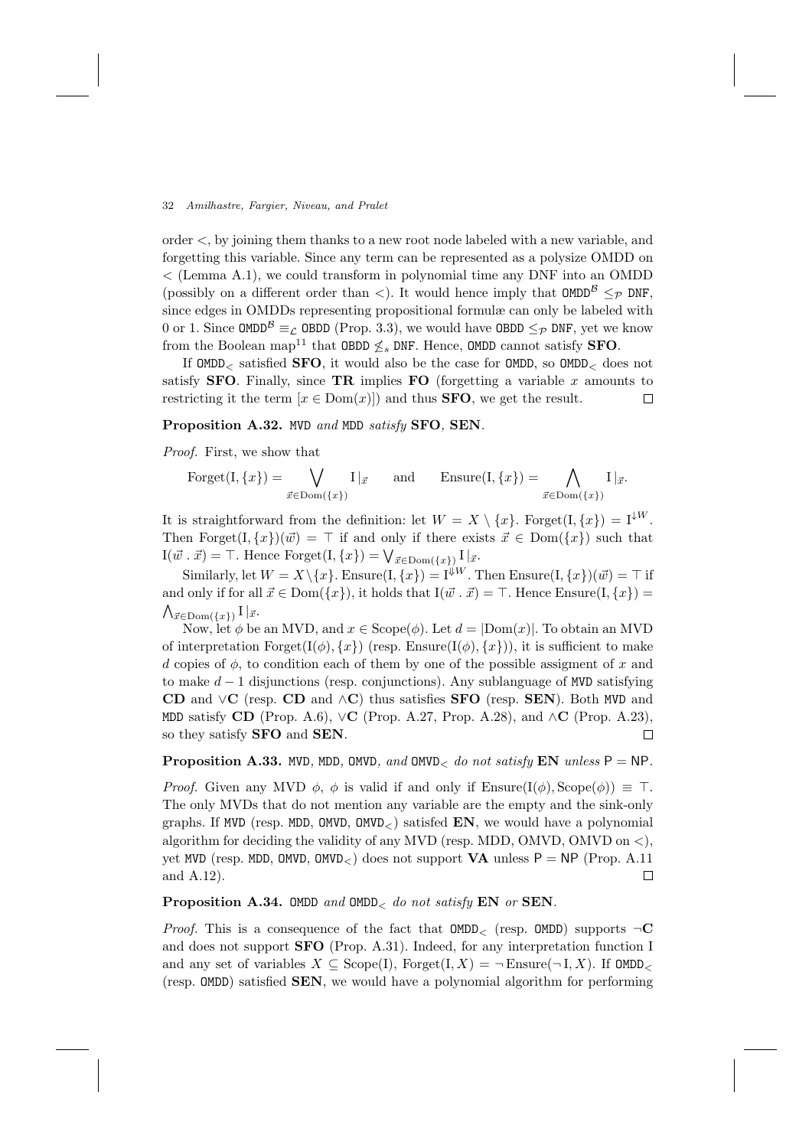order <, by joining them thanks to a new root node labeled with a new variable, and forgetting this variable. Since any term can be represented as a polysize OMDD on < (Lemma A.1), we could transform in polynomial time any DNF into an OMDD (possibly on a different order than  $\langle$ ). It would hence imply that **OMDD<sup>B</sup>**  $\langle$ <sub>*P*</sub> DNF, since edges in OMDDs representing propositional formulæ can only be labeled with 0 or 1. Since  $\text{OMDD}^{\mathcal{B}} \equiv_C \text{OBDD}$  (Prop. 3.3), we would have  $\text{OBDD} \leq_{\mathcal{P}} \text{DNF}$ , yet we know from the Boolean map<sup>11</sup> that OBDD  $\leq_s$  DNF. Hence, OMDD cannot satisfy **SFO**.

If  $OMDD<sub>z</sub>$  satisfied **SFO**, it would also be the case for  $OMDD$ , so  $OMDD<sub>z</sub>$  does not satisfy **SFO**. Finally, since **TR** implies FO (forgetting a variable x amounts to restricting it the term  $[x \in Dom(x)]$  and thus **SFO**, we get the result.  $\Box$ 

# Proposition A.32. MVD and MDD satisfy SFO, SEN.

Proof. First, we show that

Forget(I, {x}) = 
$$
\bigvee_{\vec{x} \in \text{Dom}(\{x\})}
$$
 I | $\vec{x}$  and  $\text{Ensure}(I, {x}) = \bigwedge_{\vec{x} \in \text{Dom}(\{x\})}$  I | $\vec{x}$ .

It is straightforward from the definition: let  $W = X \setminus \{x\}$ . Forget $(I, \{x\}) = I^{\downarrow W}$ . Then Forget(I,  $\{x\}$ )( $\vec{w}$ ) =  $\top$  if and only if there exists  $\vec{x} \in Dom(\{x\})$  such that I( $\vec{w} \cdot \vec{x}$ ) = T. Hence Forget(I,  $\{x\}$ ) =  $\bigvee_{\vec{x} \in \text{Dom}(\{x\})} I | \vec{x}$ .

Similarly, let  $W = X \setminus \{x\}$ . Ensure $(I, \{x\}) = I^{\Downarrow W}$ . Then Ensure $(I, \{x\})(\vec{w}) = \top$  if and only if for all  $\vec{x} \in \text{Dom}(\{x\})$ , it holds that  $I(\vec{w} \cdot \vec{x}) = \top$ . Hence Ensure(I,  $\{x\}$ ) =  $\bigwedge_{\vec{x} \in \mathrm{Dom}(\{x\})} \mathrm{I} \, |_{\vec{x}}.$ 

Now, let  $\phi$  be an MVD, and  $x \in \text{Scope}(\phi)$ . Let  $d = |{\rm Dom}(x)|$ . To obtain an MVD of interpretation Forget $(I(\phi), \{x\})$  (resp. Ensure $(I(\phi), \{x\})$ ), it is sufficient to make d copies of  $\phi$ , to condition each of them by one of the possible assigment of x and to make  $d-1$  disjunctions (resp. conjunctions). Any sublanguage of MVD satisfying CD and  $\vee$ C (resp. CD and  $\wedge$ C) thus satisfies **SFO** (resp. **SEN**). Both MVD and MDD satisfy CD (Prop. A.6), ∨C (Prop. A.27, Prop. A.28), and ∧C (Prop. A.23), so they satisfy **SFO** and **SEN**. so they satisfy SFO and SEN.

### **Proposition A.33.** MVD, MDD, OMVD, and OMVD<sub><ca</sub> do not satisfy EN unless P = NP.

*Proof.* Given any MVD  $\phi$ ,  $\phi$  is valid if and only if Ensure(I( $\phi$ ), Scope( $\phi$ ))  $\equiv$  T. The only MVDs that do not mention any variable are the empty and the sink-only graphs. If MVD (resp. MDD, OMVD, OMVD<sub> $\epsilon$ </sub>) satisfed **EN**, we would have a polynomial algorithm for deciding the validity of any MVD (resp. MDD, OMVD, OMVD on <), yet MVD (resp. MDD, OMVD, OMVD<sub><</sub>) does not support **VA** unless  $P = NP$  (Prop. A.11) and A.12). П

### **Proposition A.34.** OMDD and OMDD<sub><c</sub> do not satisfy EN or SEN.

*Proof.* This is a consequence of the fact that  $OMDD<sub>></sub>$  (resp. OMDD) supports  $\neg \mathbf{C}$ and does not support SFO (Prop. A.31). Indeed, for any interpretation function I and any set of variables  $X \subseteq \text{Scope}(I)$ , Forget $(I, X) = \neg \text{Ensure}(\neg I, X)$ . If OMDD (resp. OMDD) satisfied SEN, we would have a polynomial algorithm for performing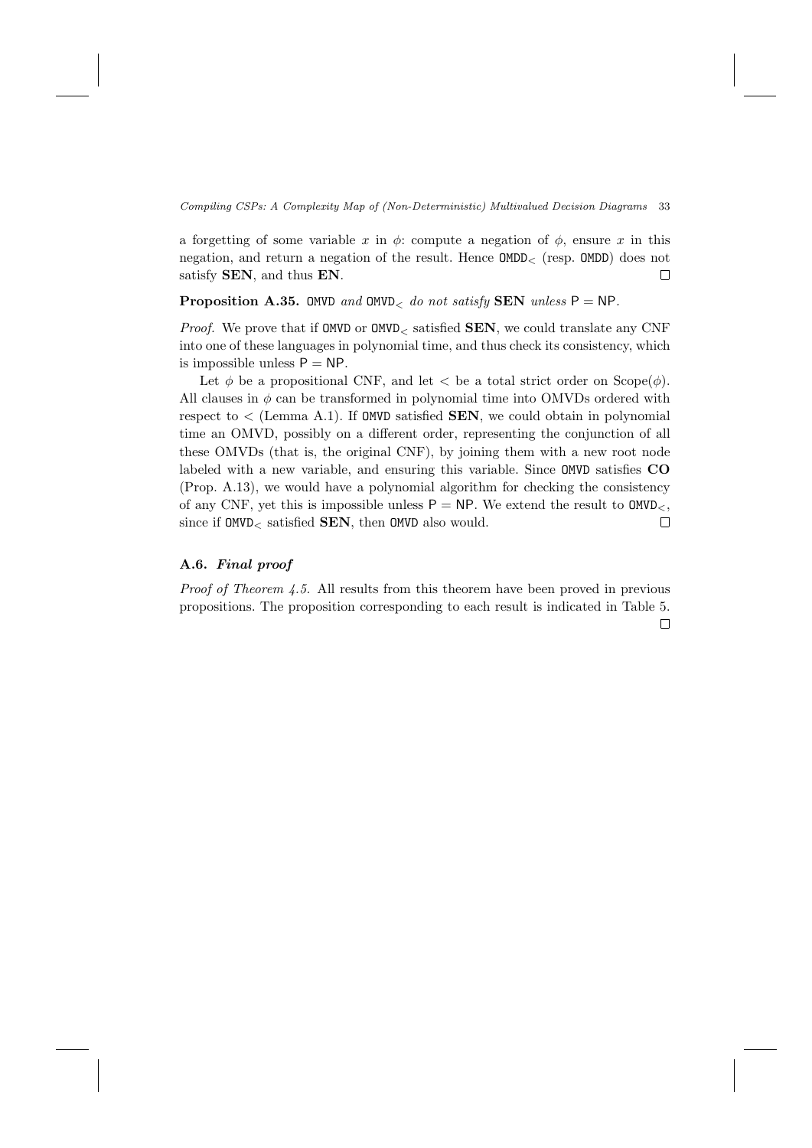a forgetting of some variable x in  $\phi$ : compute a negation of  $\phi$ , ensure x in this negation, and return a negation of the result. Hence  $OMDD<sub>></sub>$  (resp. OMDD) does not satisfy SEN, and thus EN.  $\Box$ 

### **Proposition A.35.** OMVD and OMVD<sub><carrala do not satisfy SEN unless  $P = NP$ .</sub>

*Proof.* We prove that if  $OMVD$  or  $OMVD<sub>></sub>$  satisfied **SEN**, we could translate any CNF into one of these languages in polynomial time, and thus check its consistency, which is impossible unless  $P = NP$ .

Let  $\phi$  be a propositional CNF, and let  $\langle$  be a total strict order on Scope( $\phi$ ). All clauses in  $\phi$  can be transformed in polynomial time into OMVDs ordered with respect to  $\lt$  (Lemma A.1). If OMVD satisfied **SEN**, we could obtain in polynomial time an OMVD, possibly on a different order, representing the conjunction of all these OMVDs (that is, the original CNF), by joining them with a new root node labeled with a new variable, and ensuring this variable. Since OMVD satisfies CO (Prop. A.13), we would have a polynomial algorithm for checking the consistency of any CNF, yet this is impossible unless  $P = NP$ . We extend the result to DMVD<sub><</sub>, since if  $OMVD<sub>5</sub>$  satisfied **SEN**, then  $OMVD$  also would.  $\Box$ 

### A.6. Final proof

*Proof of Theorem 4.5.* All results from this theorem have been proved in previous propositions. The proposition corresponding to each result is indicated in Table 5. $\Box$